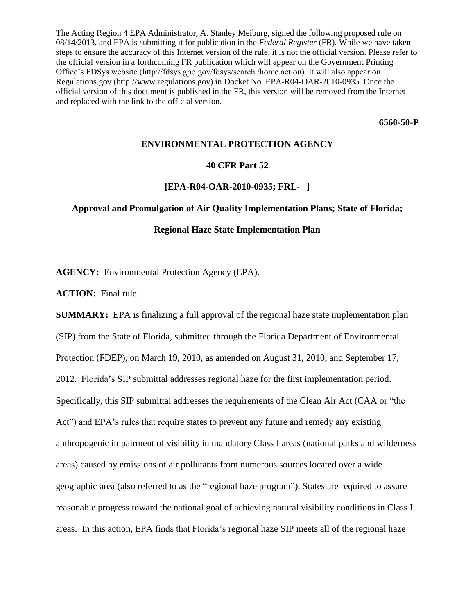The Acting Region 4 EPA Administrator, A. Stanley Meiburg, signed the following proposed rule on 08/14/2013, and EPA is submitting it for publication in the *Federal Register* (FR). While we have taken steps to ensure the accuracy of this Internet version of the rule, it is not the official version. Please refer to the official version in a forthcoming FR publication which will appear on the Government Printing Office's FDSys website (http://fdsys.gpo.gov/fdsys/search /home.action). It will also appear on Regulations.gov (http://www.regulations.gov) in Docket No. EPA-R04-OAR-2010-0935. Once the official version of this document is published in the FR, this version will be removed from the Internet and replaced with the link to the official version.

**6560-50-P**

## **ENVIRONMENTAL PROTECTION AGENCY**

## **40 CFR Part 52**

## **[EPA-R04-OAR-2010-0935; FRL- ]**

## **Approval and Promulgation of Air Quality Implementation Plans; State of Florida;**

## **Regional Haze State Implementation Plan**

**AGENCY:** Environmental Protection Agency (EPA).

**ACTION:** Final rule.

**SUMMARY:** EPA is finalizing a full approval of the regional haze state implementation plan (SIP) from the State of Florida, submitted through the Florida Department of Environmental Protection (FDEP), on March 19, 2010, as amended on August 31, 2010, and September 17, 2012. Florida's SIP submittal addresses regional haze for the first implementation period. Specifically, this SIP submittal addresses the requirements of the Clean Air Act (CAA or "the Act") and EPA's rules that require states to prevent any future and remedy any existing anthropogenic impairment of visibility in mandatory Class I areas (national parks and wilderness areas) caused by emissions of air pollutants from numerous sources located over a wide geographic area (also referred to as the "regional haze program"). States are required to assure reasonable progress toward the national goal of achieving natural visibility conditions in Class I areas. In this action, EPA finds that Florida's regional haze SIP meets all of the regional haze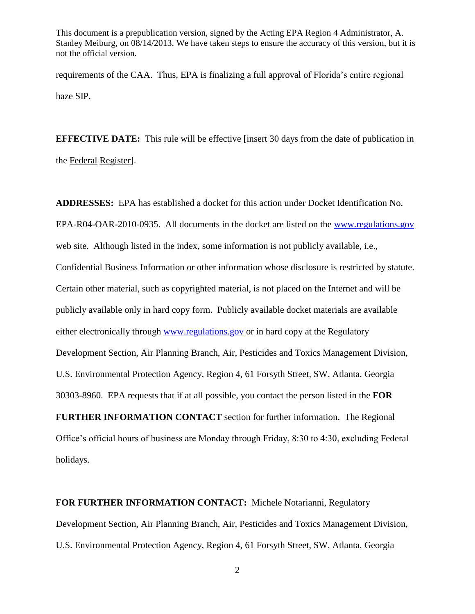requirements of the CAA. Thus, EPA is finalizing a full approval of Florida's entire regional haze SIP.

**EFFECTIVE DATE:** This rule will be effective [insert 30 days from the date of publication in the Federal Register].

**ADDRESSES:** EPA has established a docket for this action under Docket Identification No. EPA-R04-OAR-2010-0935. All documents in the docket are listed on the [www.regulations.gov](http://www.regulations.gov/) web site. Although listed in the index, some information is not publicly available, i.e., Confidential Business Information or other information whose disclosure is restricted by statute. Certain other material, such as copyrighted material, is not placed on the Internet and will be publicly available only in hard copy form. Publicly available docket materials are available either electronically through [www.regulations.gov](http://www.regulations.gov/) or in hard copy at the Regulatory Development Section, Air Planning Branch, Air, Pesticides and Toxics Management Division, U.S. Environmental Protection Agency, Region 4, 61 Forsyth Street, SW, Atlanta, Georgia 30303-8960. EPA requests that if at all possible, you contact the person listed in the **FOR FURTHER INFORMATION CONTACT** section for further information. The Regional Office's official hours of business are Monday through Friday, 8:30 to 4:30, excluding Federal holidays.

**FOR FURTHER INFORMATION CONTACT:** Michele Notarianni, Regulatory Development Section, Air Planning Branch, Air, Pesticides and Toxics Management Division, U.S. Environmental Protection Agency, Region 4, 61 Forsyth Street, SW, Atlanta, Georgia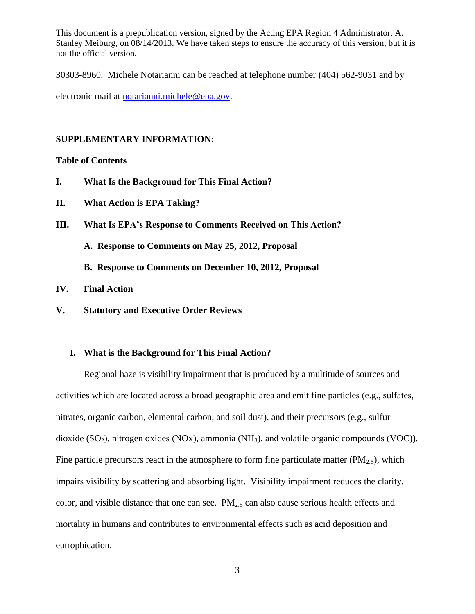30303-8960. Michele Notarianni can be reached at telephone number (404) 562-9031 and by

electronic mail at [notarianni.michele@epa.gov.](mailto:notarianni.michele@epa.gov)

#### **SUPPLEMENTARY INFORMATION:**

### **Table of Contents**

- **I. What Is the Background for This Final Action?**
- **II. What Action is EPA Taking?**
- **III. What Is EPA's Response to Comments Received on This Action?**
	- **A. Response to Comments on May 25, 2012, Proposal**

**B. Response to Comments on December 10, 2012, Proposal**

- **IV. Final Action**
- **V. Statutory and Executive Order Reviews**

## **I. What is the Background for This Final Action?**

Regional haze is visibility impairment that is produced by a multitude of sources and activities which are located across a broad geographic area and emit fine particles (e.g., sulfates, nitrates, organic carbon, elemental carbon, and soil dust), and their precursors (e.g., sulfur dioxide (SO<sub>2</sub>), nitrogen oxides (NOx), ammonia (NH<sub>3</sub>), and volatile organic compounds (VOC)). Fine particle precursors react in the atmosphere to form fine particulate matter  $(PM_{2.5})$ , which impairs visibility by scattering and absorbing light. Visibility impairment reduces the clarity, color, and visible distance that one can see.  $PM_{2.5}$  can also cause serious health effects and mortality in humans and contributes to environmental effects such as acid deposition and eutrophication.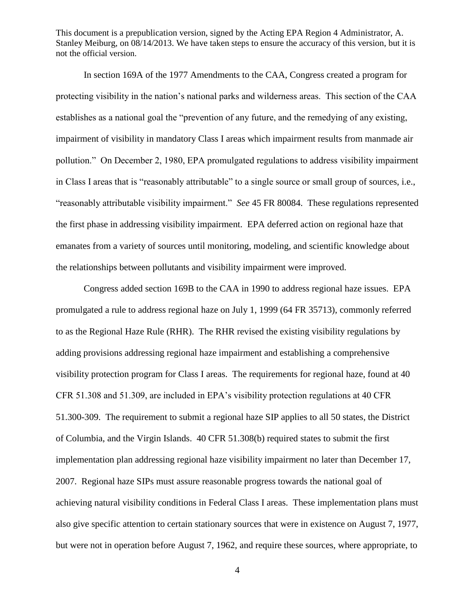In section 169A of the 1977 Amendments to the CAA, Congress created a program for protecting visibility in the nation's national parks and wilderness areas. This section of the CAA establishes as a national goal the "prevention of any future, and the remedying of any existing, impairment of visibility in mandatory Class I areas which impairment results from manmade air pollution." On December 2, 1980, EPA promulgated regulations to address visibility impairment in Class I areas that is "reasonably attributable" to a single source or small group of sources, i.e., "reasonably attributable visibility impairment." *See* 45 FR 80084. These regulations represented the first phase in addressing visibility impairment. EPA deferred action on regional haze that emanates from a variety of sources until monitoring, modeling, and scientific knowledge about the relationships between pollutants and visibility impairment were improved.

Congress added section 169B to the CAA in 1990 to address regional haze issues. EPA promulgated a rule to address regional haze on July 1, 1999 (64 FR 35713), commonly referred to as the Regional Haze Rule (RHR). The RHR revised the existing visibility regulations by adding provisions addressing regional haze impairment and establishing a comprehensive visibility protection program for Class I areas. The requirements for regional haze, found at 40 CFR 51.308 and 51.309, are included in EPA's visibility protection regulations at 40 CFR 51.300-309. The requirement to submit a regional haze SIP applies to all 50 states, the District of Columbia, and the Virgin Islands. 40 CFR 51.308(b) required states to submit the first implementation plan addressing regional haze visibility impairment no later than December 17, 2007. Regional haze SIPs must assure reasonable progress towards the national goal of achieving natural visibility conditions in Federal Class I areas. These implementation plans must also give specific attention to certain stationary sources that were in existence on August 7, 1977, but were not in operation before August 7, 1962, and require these sources, where appropriate, to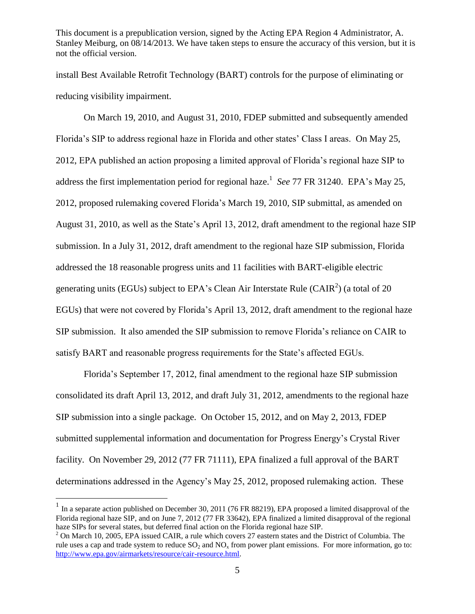install Best Available Retrofit Technology (BART) controls for the purpose of eliminating or reducing visibility impairment.

On March 19, 2010, and August 31, 2010, FDEP submitted and subsequently amended Florida's SIP to address regional haze in Florida and other states' Class I areas. On May 25, 2012, EPA published an action proposing a limited approval of Florida's regional haze SIP to address the first implementation period for regional haze.<sup>1</sup> See 77 FR 31240. EPA's May 25, 2012, proposed rulemaking covered Florida's March 19, 2010, SIP submittal, as amended on August 31, 2010, as well as the State's April 13, 2012, draft amendment to the regional haze SIP submission. In a July 31, 2012, draft amendment to the regional haze SIP submission, Florida addressed the 18 reasonable progress units and 11 facilities with BART-eligible electric generating units (EGUs) subject to EPA's Clean Air Interstate Rule (CAIR<sup>2</sup>) (a total of 20 EGUs) that were not covered by Florida's April 13, 2012, draft amendment to the regional haze SIP submission. It also amended the SIP submission to remove Florida's reliance on CAIR to satisfy BART and reasonable progress requirements for the State's affected EGUs.

Florida's September 17, 2012, final amendment to the regional haze SIP submission consolidated its draft April 13, 2012, and draft July 31, 2012, amendments to the regional haze SIP submission into a single package. On October 15, 2012, and on May 2, 2013, FDEP submitted supplemental information and documentation for Progress Energy's Crystal River facility. On November 29, 2012 (77 FR 71111), EPA finalized a full approval of the BART determinations addressed in the Agency's May 25, 2012, proposed rulemaking action. These

<sup>&</sup>lt;sup>1</sup> In a separate action published on December 30, 2011 (76 FR 88219), EPA proposed a limited disapproval of the Florida regional haze SIP, and on June 7, 2012 (77 FR 33642), EPA finalized a limited disapproval of the regional haze SIPs for several states, but deferred final action on the Florida regional haze SIP.

<sup>&</sup>lt;sup>2</sup> On March 10, 2005, EPA issued CAIR, a rule which covers 27 eastern states and the District of Columbia. The rule uses a cap and trade system to reduce  $SO_2$  and  $NO_x$  from power plant emissions. For more information, go to: [http://www.epa.gov/airmarkets/resource/cair-resource.html.](http://www.epa.gov/airmarkets/resource/cair-resource.html)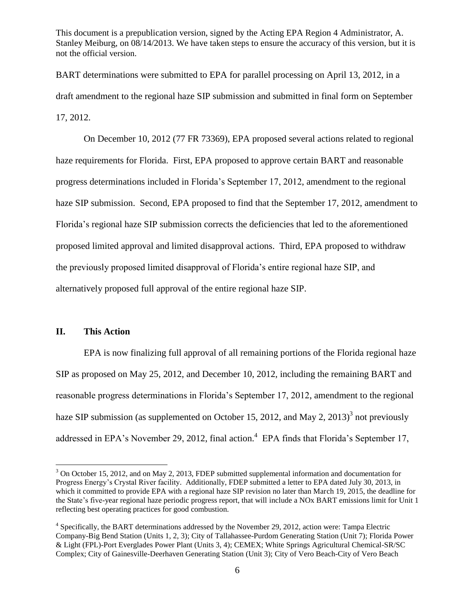BART determinations were submitted to EPA for parallel processing on April 13, 2012, in a draft amendment to the regional haze SIP submission and submitted in final form on September 17, 2012.

On December 10, 2012 (77 FR 73369), EPA proposed several actions related to regional haze requirements for Florida. First, EPA proposed to approve certain BART and reasonable progress determinations included in Florida's September 17, 2012, amendment to the regional haze SIP submission. Second, EPA proposed to find that the September 17, 2012, amendment to Florida's regional haze SIP submission corrects the deficiencies that led to the aforementioned proposed limited approval and limited disapproval actions. Third, EPA proposed to withdraw the previously proposed limited disapproval of Florida's entire regional haze SIP, and alternatively proposed full approval of the entire regional haze SIP.

# **II. This Action**

 $\overline{a}$ 

EPA is now finalizing full approval of all remaining portions of the Florida regional haze SIP as proposed on May 25, 2012, and December 10, 2012, including the remaining BART and reasonable progress determinations in Florida's September 17, 2012, amendment to the regional haze SIP submission (as supplemented on October 15, 2012, and May 2, 2013)<sup>3</sup> not previously addressed in EPA's November 29, 2012, final action.<sup>4</sup> EPA finds that Florida's September 17,

<sup>&</sup>lt;sup>3</sup> On October 15, 2012, and on May 2, 2013, FDEP submitted supplemental information and documentation for Progress Energy's Crystal River facility. Additionally, FDEP submitted a letter to EPA dated July 30, 2013, in which it committed to provide EPA with a regional haze SIP revision no later than March 19, 2015, the deadline for the State's five-year regional haze periodic progress report, that will include a NOx BART emissions limit for Unit 1 reflecting best operating practices for good combustion.

<sup>&</sup>lt;sup>4</sup> Specifically, the BART determinations addressed by the November 29, 2012, action were: Tampa Electric Company-Big Bend Station (Units 1, 2, 3); City of Tallahassee-Purdom Generating Station (Unit 7); Florida Power & Light (FPL)-Port Everglades Power Plant (Units 3, 4); CEMEX; White Springs Agricultural Chemical-SR/SC Complex; City of Gainesville-Deerhaven Generating Station (Unit 3); City of Vero Beach-City of Vero Beach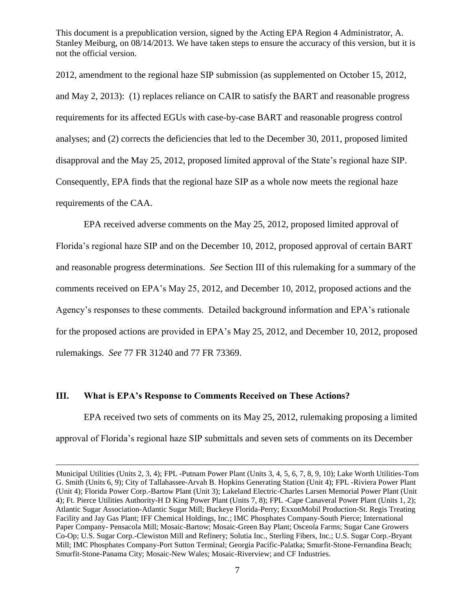2012, amendment to the regional haze SIP submission (as supplemented on October 15, 2012, and May 2, 2013): (1) replaces reliance on CAIR to satisfy the BART and reasonable progress requirements for its affected EGUs with case-by-case BART and reasonable progress control analyses; and (2) corrects the deficiencies that led to the December 30, 2011, proposed limited disapproval and the May 25, 2012, proposed limited approval of the State's regional haze SIP. Consequently, EPA finds that the regional haze SIP as a whole now meets the regional haze requirements of the CAA.

EPA received adverse comments on the May 25, 2012, proposed limited approval of Florida's regional haze SIP and on the December 10, 2012, proposed approval of certain BART and reasonable progress determinations. *See* Section III of this rulemaking for a summary of the comments received on EPA's May 25, 2012, and December 10, 2012, proposed actions and the Agency's responses to these comments. Detailed background information and EPA's rationale for the proposed actions are provided in EPA's May 25, 2012, and December 10, 2012, proposed rulemakings. *See* 77 FR 31240 and 77 FR 73369.

## **III. What is EPA's Response to Comments Received on These Actions?**

 $\overline{a}$ 

EPA received two sets of comments on its May 25, 2012, rulemaking proposing a limited approval of Florida's regional haze SIP submittals and seven sets of comments on its December

Municipal Utilities (Units 2, 3, 4); FPL -Putnam Power Plant (Units 3, 4, 5, 6, 7, 8, 9, 10); Lake Worth Utilities-Tom G. Smith (Units 6, 9); City of Tallahassee-Arvah B. Hopkins Generating Station (Unit 4); FPL -Riviera Power Plant (Unit 4); Florida Power Corp.-Bartow Plant (Unit 3); Lakeland Electric-Charles Larsen Memorial Power Plant (Unit 4); Ft. Pierce Utilities Authority-H D King Power Plant (Units 7, 8); FPL -Cape Canaveral Power Plant (Units 1, 2); Atlantic Sugar Association-Atlantic Sugar Mill; Buckeye Florida-Perry; ExxonMobil Production-St. Regis Treating Facility and Jay Gas Plant; IFF Chemical Holdings, Inc.; IMC Phosphates Company-South Pierce; International Paper Company- Pensacola Mill; Mosaic-Bartow; Mosaic-Green Bay Plant; Osceola Farms; Sugar Cane Growers Co-Op; U.S. Sugar Corp.-Clewiston Mill and Refinery; Solutia Inc., Sterling Fibers, Inc.; U.S. Sugar Corp.-Bryant Mill; IMC Phosphates Company-Port Sutton Terminal; Georgia Pacific-Palatka; Smurfit-Stone-Fernandina Beach; Smurfit-Stone-Panama City; Mosaic-New Wales; Mosaic-Riverview; and CF Industries.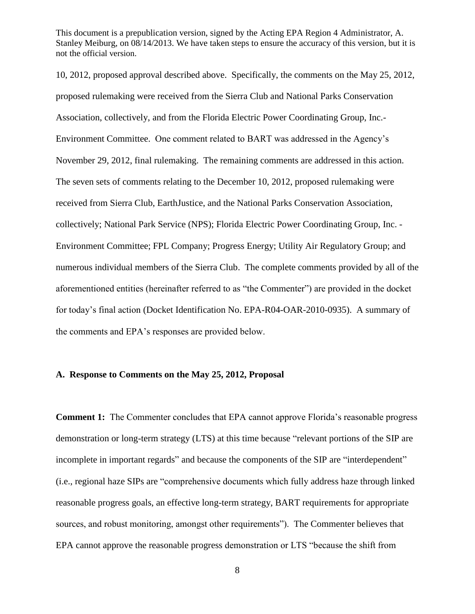10, 2012, proposed approval described above. Specifically, the comments on the May 25, 2012, proposed rulemaking were received from the Sierra Club and National Parks Conservation Association, collectively, and from the Florida Electric Power Coordinating Group, Inc.- Environment Committee. One comment related to BART was addressed in the Agency's November 29, 2012, final rulemaking. The remaining comments are addressed in this action. The seven sets of comments relating to the December 10, 2012, proposed rulemaking were received from Sierra Club, EarthJustice, and the National Parks Conservation Association, collectively; National Park Service (NPS); Florida Electric Power Coordinating Group, Inc. - Environment Committee; FPL Company; Progress Energy; Utility Air Regulatory Group; and numerous individual members of the Sierra Club. The complete comments provided by all of the aforementioned entities (hereinafter referred to as "the Commenter") are provided in the docket for today's final action (Docket Identification No. EPA-R04-OAR-2010-0935). A summary of the comments and EPA's responses are provided below.

## **A. Response to Comments on the May 25, 2012, Proposal**

**Comment 1:** The Commenter concludes that EPA cannot approve Florida's reasonable progress demonstration or long-term strategy (LTS) at this time because "relevant portions of the SIP are incomplete in important regards" and because the components of the SIP are "interdependent" (i.e., regional haze SIPs are "comprehensive documents which fully address haze through linked reasonable progress goals, an effective long-term strategy, BART requirements for appropriate sources, and robust monitoring, amongst other requirements"). The Commenter believes that EPA cannot approve the reasonable progress demonstration or LTS "because the shift from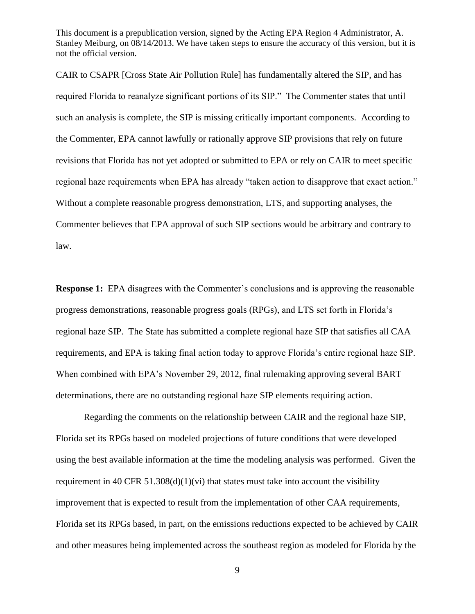CAIR to CSAPR [Cross State Air Pollution Rule] has fundamentally altered the SIP, and has required Florida to reanalyze significant portions of its SIP." The Commenter states that until such an analysis is complete, the SIP is missing critically important components. According to the Commenter, EPA cannot lawfully or rationally approve SIP provisions that rely on future revisions that Florida has not yet adopted or submitted to EPA or rely on CAIR to meet specific regional haze requirements when EPA has already "taken action to disapprove that exact action." Without a complete reasonable progress demonstration, LTS, and supporting analyses, the Commenter believes that EPA approval of such SIP sections would be arbitrary and contrary to law.

**Response 1:** EPA disagrees with the Commenter's conclusions and is approving the reasonable progress demonstrations, reasonable progress goals (RPGs), and LTS set forth in Florida's regional haze SIP. The State has submitted a complete regional haze SIP that satisfies all CAA requirements, and EPA is taking final action today to approve Florida's entire regional haze SIP. When combined with EPA's November 29, 2012, final rulemaking approving several BART determinations, there are no outstanding regional haze SIP elements requiring action.

Regarding the comments on the relationship between CAIR and the regional haze SIP, Florida set its RPGs based on modeled projections of future conditions that were developed using the best available information at the time the modeling analysis was performed. Given the requirement in 40 CFR 51.308(d)(1)(vi) that states must take into account the visibility improvement that is expected to result from the implementation of other CAA requirements, Florida set its RPGs based, in part, on the emissions reductions expected to be achieved by CAIR and other measures being implemented across the southeast region as modeled for Florida by the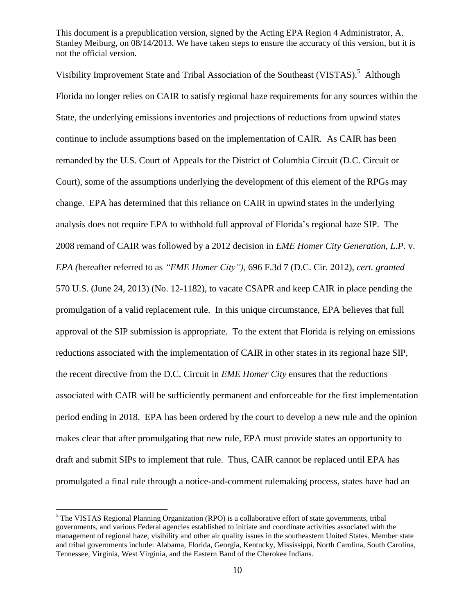Visibility Improvement State and Tribal Association of the Southeast (VISTAS).<sup>5</sup> Although Florida no longer relies on CAIR to satisfy regional haze requirements for any sources within the State, the underlying emissions inventories and projections of reductions from upwind states continue to include assumptions based on the implementation of CAIR. As CAIR has been remanded by the U.S. Court of Appeals for the District of Columbia Circuit (D.C. Circuit or Court), some of the assumptions underlying the development of this element of the RPGs may change. EPA has determined that this reliance on CAIR in upwind states in the underlying analysis does not require EPA to withhold full approval of Florida's regional haze SIP. The 2008 remand of CAIR was followed by a 2012 decision in *EME Homer City Generation, L.P.* v. *EPA (*hereafter referred to as *"EME Homer City"),* 696 F.3d 7 (D.C. Cir. 2012), *cert. granted* 570 U.S. (June 24, 2013) (No. 12-1182), to vacate CSAPR and keep CAIR in place pending the promulgation of a valid replacement rule. In this unique circumstance, EPA believes that full approval of the SIP submission is appropriate. To the extent that Florida is relying on emissions reductions associated with the implementation of CAIR in other states in its regional haze SIP, the recent directive from the D.C. Circuit in *EME Homer City* ensures that the reductions associated with CAIR will be sufficiently permanent and enforceable for the first implementation period ending in 2018. EPA has been ordered by the court to develop a new rule and the opinion makes clear that after promulgating that new rule, EPA must provide states an opportunity to draft and submit SIPs to implement that rule. Thus, CAIR cannot be replaced until EPA has promulgated a final rule through a notice-and-comment rulemaking process, states have had an

 $<sup>5</sup>$  The VISTAS Regional Planning Organization (RPO) is a collaborative effort of state governments, tribal</sup> governments, and various Federal agencies established to initiate and coordinate activities associated with the management of regional haze, visibility and other air quality issues in the southeastern United States. Member state and tribal governments include: Alabama, Florida, Georgia, Kentucky, Mississippi, North Carolina, South Carolina, Tennessee, Virginia, West Virginia, and the Eastern Band of the Cherokee Indians.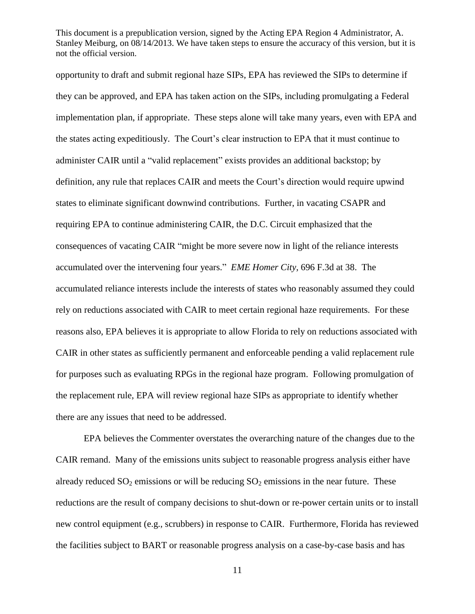opportunity to draft and submit regional haze SIPs, EPA has reviewed the SIPs to determine if they can be approved, and EPA has taken action on the SIPs, including promulgating a Federal implementation plan, if appropriate. These steps alone will take many years, even with EPA and the states acting expeditiously. The Court's clear instruction to EPA that it must continue to administer CAIR until a "valid replacement" exists provides an additional backstop; by definition, any rule that replaces CAIR and meets the Court's direction would require upwind states to eliminate significant downwind contributions. Further, in vacating CSAPR and requiring EPA to continue administering CAIR, the D.C. Circuit emphasized that the consequences of vacating CAIR "might be more severe now in light of the reliance interests accumulated over the intervening four years.‖ *EME Homer City,* 696 F.3d at 38. The accumulated reliance interests include the interests of states who reasonably assumed they could rely on reductions associated with CAIR to meet certain regional haze requirements. For these reasons also, EPA believes it is appropriate to allow Florida to rely on reductions associated with CAIR in other states as sufficiently permanent and enforceable pending a valid replacement rule for purposes such as evaluating RPGs in the regional haze program. Following promulgation of the replacement rule, EPA will review regional haze SIPs as appropriate to identify whether there are any issues that need to be addressed.

EPA believes the Commenter overstates the overarching nature of the changes due to the CAIR remand. Many of the emissions units subject to reasonable progress analysis either have already reduced  $SO_2$  emissions or will be reducing  $SO_2$  emissions in the near future. These reductions are the result of company decisions to shut-down or re-power certain units or to install new control equipment (e.g., scrubbers) in response to CAIR. Furthermore, Florida has reviewed the facilities subject to BART or reasonable progress analysis on a case-by-case basis and has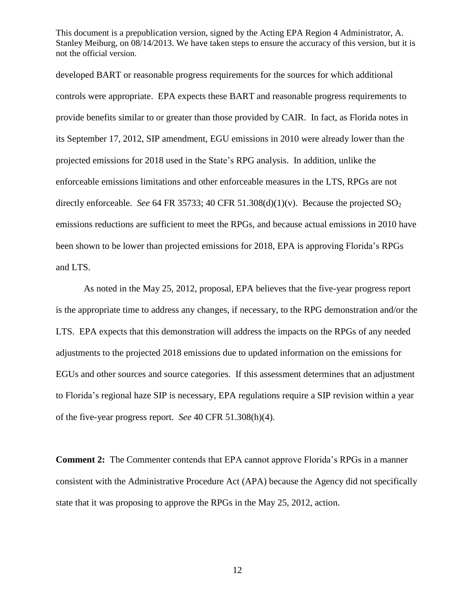developed BART or reasonable progress requirements for the sources for which additional controls were appropriate. EPA expects these BART and reasonable progress requirements to provide benefits similar to or greater than those provided by CAIR. In fact, as Florida notes in its September 17, 2012, SIP amendment, EGU emissions in 2010 were already lower than the projected emissions for 2018 used in the State's RPG analysis. In addition, unlike the enforceable emissions limitations and other enforceable measures in the LTS, RPGs are not directly enforceable. *See* 64 FR 35733; 40 CFR 51.308(d)(1)(v). Because the projected  $SO_2$ emissions reductions are sufficient to meet the RPGs, and because actual emissions in 2010 have been shown to be lower than projected emissions for 2018, EPA is approving Florida's RPGs and LTS.

As noted in the May 25, 2012, proposal, EPA believes that the five-year progress report is the appropriate time to address any changes, if necessary, to the RPG demonstration and/or the LTS. EPA expects that this demonstration will address the impacts on the RPGs of any needed adjustments to the projected 2018 emissions due to updated information on the emissions for EGUs and other sources and source categories. If this assessment determines that an adjustment to Florida's regional haze SIP is necessary, EPA regulations require a SIP revision within a year of the five-year progress report. *See* 40 CFR 51.308(h)(4).

**Comment 2:** The Commenter contends that EPA cannot approve Florida's RPGs in a manner consistent with the Administrative Procedure Act (APA) because the Agency did not specifically state that it was proposing to approve the RPGs in the May 25, 2012, action.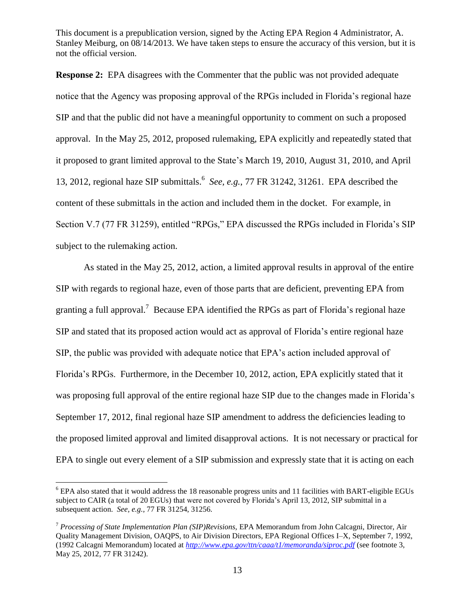**Response 2:** EPA disagrees with the Commenter that the public was not provided adequate notice that the Agency was proposing approval of the RPGs included in Florida's regional haze SIP and that the public did not have a meaningful opportunity to comment on such a proposed approval. In the May 25, 2012, proposed rulemaking, EPA explicitly and repeatedly stated that it proposed to grant limited approval to the State's March 19, 2010, August 31, 2010, and April 13, 2012, regional haze SIP submittals. 6 *See, e.g.*, 77 FR 31242, 31261. EPA described the content of these submittals in the action and included them in the docket. For example, in Section V.7 (77 FR 31259), entitled "RPGs," EPA discussed the RPGs included in Florida's SIP subject to the rulemaking action.

As stated in the May 25, 2012, action, a limited approval results in approval of the entire SIP with regards to regional haze, even of those parts that are deficient, preventing EPA from granting a full approval.<sup>7</sup> Because EPA identified the RPGs as part of Florida's regional haze SIP and stated that its proposed action would act as approval of Florida's entire regional haze SIP, the public was provided with adequate notice that EPA's action included approval of Florida's RPGs. Furthermore, in the December 10, 2012, action, EPA explicitly stated that it was proposing full approval of the entire regional haze SIP due to the changes made in Florida's September 17, 2012, final regional haze SIP amendment to address the deficiencies leading to the proposed limited approval and limited disapproval actions. It is not necessary or practical for EPA to single out every element of a SIP submission and expressly state that it is acting on each

<sup>&</sup>lt;sup>6</sup> EPA also stated that it would address the 18 reasonable progress units and 11 facilities with BART-eligible EGUs subject to CAIR (a total of 20 EGUs) that were not covered by Florida's April 13, 2012, SIP submittal in a subsequent action. *See, e.g.,* 77 FR 31254, 31256.

<sup>7</sup> *Processing of State Implementation Plan (SIP)Revisions,* EPA Memorandum from John Calcagni, Director, Air Quality Management Division, OAQPS, to Air Division Directors, EPA Regional Offices I–X, September 7, 1992, (1992 Calcagni Memorandum) located at *<http://www.epa.gov/ttn/caaa/t1/memoranda/siproc.pdf>* (see footnote 3, May 25, 2012, 77 FR 31242).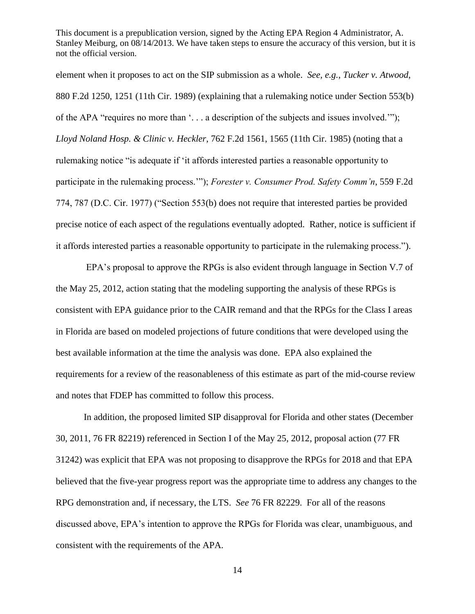element when it proposes to act on the SIP submission as a whole. *See, e.g.*, *Tucker v. Atwood*, 880 F.2d 1250, 1251 (11th Cir. 1989) (explaining that a rulemaking notice under Section 553(b) of the APA "requires no more than  $\ldots$  a description of the subjects and issues involved."); *Lloyd Noland Hosp. & Clinic v. Heckler*, 762 F.2d 1561, 1565 (11th Cir. 1985) (noting that a rulemaking notice "is adequate if 'it affords interested parties a reasonable opportunity to participate in the rulemaking process.""); *Forester v. Consumer Prod. Safety Comm'n*, 559 F.2d 774, 787 (D.C. Cir. 1977) ("Section 553(b) does not require that interested parties be provided precise notice of each aspect of the regulations eventually adopted. Rather, notice is sufficient if it affords interested parties a reasonable opportunity to participate in the rulemaking process.‖).

EPA's proposal to approve the RPGs is also evident through language in Section V.7 of the May 25, 2012, action stating that the modeling supporting the analysis of these RPGs is consistent with EPA guidance prior to the CAIR remand and that the RPGs for the Class I areas in Florida are based on modeled projections of future conditions that were developed using the best available information at the time the analysis was done. EPA also explained the requirements for a review of the reasonableness of this estimate as part of the mid-course review and notes that FDEP has committed to follow this process.

In addition, the proposed limited SIP disapproval for Florida and other states (December 30, 2011, 76 FR 82219) referenced in Section I of the May 25, 2012, proposal action (77 FR 31242) was explicit that EPA was not proposing to disapprove the RPGs for 2018 and that EPA believed that the five-year progress report was the appropriate time to address any changes to the RPG demonstration and, if necessary, the LTS. *See* 76 FR 82229. For all of the reasons discussed above, EPA's intention to approve the RPGs for Florida was clear, unambiguous, and consistent with the requirements of the APA.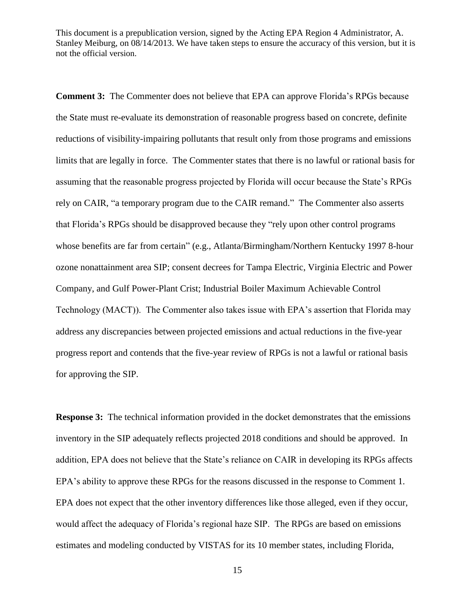**Comment 3:** The Commenter does not believe that EPA can approve Florida's RPGs because the State must re-evaluate its demonstration of reasonable progress based on concrete, definite reductions of visibility-impairing pollutants that result only from those programs and emissions limits that are legally in force. The Commenter states that there is no lawful or rational basis for assuming that the reasonable progress projected by Florida will occur because the State's RPGs rely on CAIR, "a temporary program due to the CAIR remand." The Commenter also asserts that Florida's RPGs should be disapproved because they "rely upon other control programs" whose benefits are far from certain" (e.g., Atlanta/Birmingham/Northern Kentucky 1997 8-hour ozone nonattainment area SIP; consent decrees for Tampa Electric, Virginia Electric and Power Company, and Gulf Power-Plant Crist; Industrial Boiler Maximum Achievable Control Technology (MACT)). The Commenter also takes issue with EPA's assertion that Florida may address any discrepancies between projected emissions and actual reductions in the five-year progress report and contends that the five-year review of RPGs is not a lawful or rational basis for approving the SIP.

**Response 3:** The technical information provided in the docket demonstrates that the emissions inventory in the SIP adequately reflects projected 2018 conditions and should be approved. In addition, EPA does not believe that the State's reliance on CAIR in developing its RPGs affects EPA's ability to approve these RPGs for the reasons discussed in the response to Comment 1. EPA does not expect that the other inventory differences like those alleged, even if they occur, would affect the adequacy of Florida's regional haze SIP. The RPGs are based on emissions estimates and modeling conducted by VISTAS for its 10 member states, including Florida,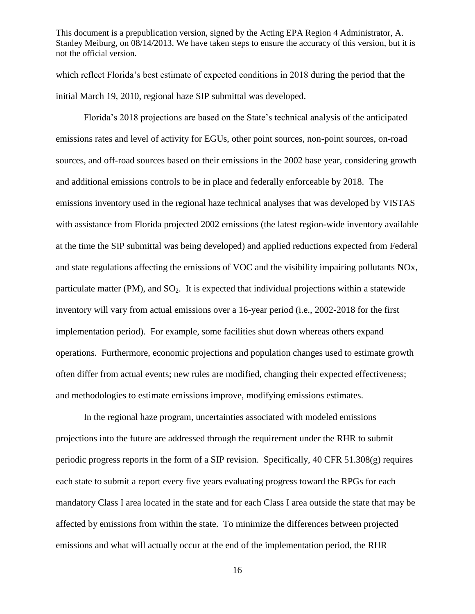which reflect Florida's best estimate of expected conditions in 2018 during the period that the initial March 19, 2010, regional haze SIP submittal was developed.

Florida's 2018 projections are based on the State's technical analysis of the anticipated emissions rates and level of activity for EGUs, other point sources, non-point sources, on-road sources, and off-road sources based on their emissions in the 2002 base year, considering growth and additional emissions controls to be in place and federally enforceable by 2018. The emissions inventory used in the regional haze technical analyses that was developed by VISTAS with assistance from Florida projected 2002 emissions (the latest region-wide inventory available at the time the SIP submittal was being developed) and applied reductions expected from Federal and state regulations affecting the emissions of VOC and the visibility impairing pollutants NOx, particulate matter  $(PM)$ , and  $SO<sub>2</sub>$ . It is expected that individual projections within a statewide inventory will vary from actual emissions over a 16-year period (i.e., 2002-2018 for the first implementation period). For example, some facilities shut down whereas others expand operations. Furthermore, economic projections and population changes used to estimate growth often differ from actual events; new rules are modified, changing their expected effectiveness; and methodologies to estimate emissions improve, modifying emissions estimates.

In the regional haze program, uncertainties associated with modeled emissions projections into the future are addressed through the requirement under the RHR to submit periodic progress reports in the form of a SIP revision. Specifically, 40 CFR 51.308(g) requires each state to submit a report every five years evaluating progress toward the RPGs for each mandatory Class I area located in the state and for each Class I area outside the state that may be affected by emissions from within the state. To minimize the differences between projected emissions and what will actually occur at the end of the implementation period, the RHR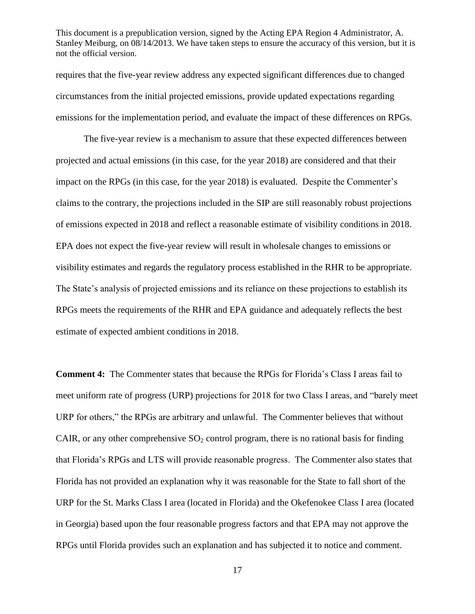requires that the five-year review address any expected significant differences due to changed circumstances from the initial projected emissions, provide updated expectations regarding emissions for the implementation period, and evaluate the impact of these differences on RPGs.

The five-year review is a mechanism to assure that these expected differences between projected and actual emissions (in this case, for the year 2018) are considered and that their impact on the RPGs (in this case, for the year 2018) is evaluated. Despite the Commenter's claims to the contrary, the projections included in the SIP are still reasonably robust projections of emissions expected in 2018 and reflect a reasonable estimate of visibility conditions in 2018. EPA does not expect the five-year review will result in wholesale changes to emissions or visibility estimates and regards the regulatory process established in the RHR to be appropriate. The State's analysis of projected emissions and its reliance on these projections to establish its RPGs meets the requirements of the RHR and EPA guidance and adequately reflects the best estimate of expected ambient conditions in 2018.

**Comment 4:** The Commenter states that because the RPGs for Florida's Class I areas fail to meet uniform rate of progress (URP) projections for 2018 for two Class I areas, and "barely meet URP for others," the RPGs are arbitrary and unlawful. The Commenter believes that without CAIR, or any other comprehensive  $SO_2$  control program, there is no rational basis for finding that Florida's RPGs and LTS will provide reasonable progress. The Commenter also states that Florida has not provided an explanation why it was reasonable for the State to fall short of the URP for the St. Marks Class I area (located in Florida) and the Okefenokee Class I area (located in Georgia) based upon the four reasonable progress factors and that EPA may not approve the RPGs until Florida provides such an explanation and has subjected it to notice and comment.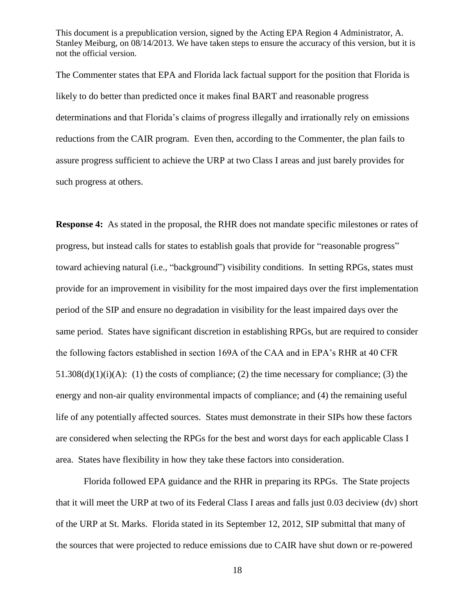The Commenter states that EPA and Florida lack factual support for the position that Florida is likely to do better than predicted once it makes final BART and reasonable progress determinations and that Florida's claims of progress illegally and irrationally rely on emissions reductions from the CAIR program. Even then, according to the Commenter, the plan fails to assure progress sufficient to achieve the URP at two Class I areas and just barely provides for such progress at others.

**Response 4:** As stated in the proposal, the RHR does not mandate specific milestones or rates of progress, but instead calls for states to establish goals that provide for "reasonable progress" toward achieving natural (i.e., "background") visibility conditions. In setting RPGs, states must provide for an improvement in visibility for the most impaired days over the first implementation period of the SIP and ensure no degradation in visibility for the least impaired days over the same period. States have significant discretion in establishing RPGs, but are required to consider the following factors established in section 169A of the CAA and in EPA's RHR at 40 CFR  $51.308(d)(1)(i)(A)$ : (1) the costs of compliance; (2) the time necessary for compliance; (3) the energy and non-air quality environmental impacts of compliance; and (4) the remaining useful life of any potentially affected sources. States must demonstrate in their SIPs how these factors are considered when selecting the RPGs for the best and worst days for each applicable Class I area. States have flexibility in how they take these factors into consideration.

Florida followed EPA guidance and the RHR in preparing its RPGs. The State projects that it will meet the URP at two of its Federal Class I areas and falls just 0.03 deciview (dv) short of the URP at St. Marks. Florida stated in its September 12, 2012, SIP submittal that many of the sources that were projected to reduce emissions due to CAIR have shut down or re-powered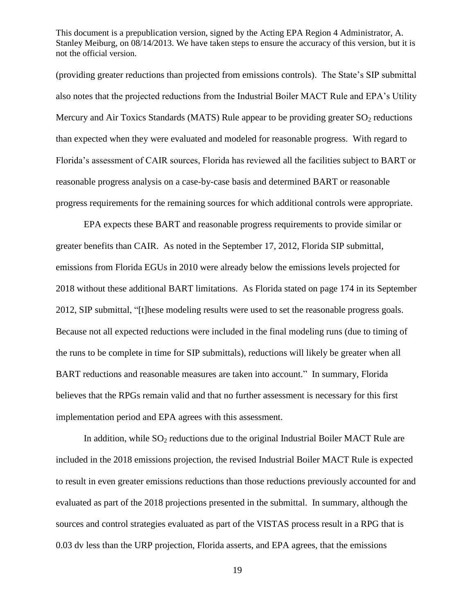(providing greater reductions than projected from emissions controls). The State's SIP submittal also notes that the projected reductions from the Industrial Boiler MACT Rule and EPA's Utility Mercury and Air Toxics Standards (MATS) Rule appear to be providing greater  $SO_2$  reductions than expected when they were evaluated and modeled for reasonable progress. With regard to Florida's assessment of CAIR sources, Florida has reviewed all the facilities subject to BART or reasonable progress analysis on a case-by-case basis and determined BART or reasonable progress requirements for the remaining sources for which additional controls were appropriate.

EPA expects these BART and reasonable progress requirements to provide similar or greater benefits than CAIR. As noted in the September 17, 2012, Florida SIP submittal, emissions from Florida EGUs in 2010 were already below the emissions levels projected for 2018 without these additional BART limitations. As Florida stated on page 174 in its September 2012, SIP submittal, "[t]hese modeling results were used to set the reasonable progress goals. Because not all expected reductions were included in the final modeling runs (due to timing of the runs to be complete in time for SIP submittals), reductions will likely be greater when all BART reductions and reasonable measures are taken into account." In summary, Florida believes that the RPGs remain valid and that no further assessment is necessary for this first implementation period and EPA agrees with this assessment.

In addition, while  $SO_2$  reductions due to the original Industrial Boiler MACT Rule are included in the 2018 emissions projection, the revised Industrial Boiler MACT Rule is expected to result in even greater emissions reductions than those reductions previously accounted for and evaluated as part of the 2018 projections presented in the submittal. In summary, although the sources and control strategies evaluated as part of the VISTAS process result in a RPG that is 0.03 dv less than the URP projection, Florida asserts, and EPA agrees, that the emissions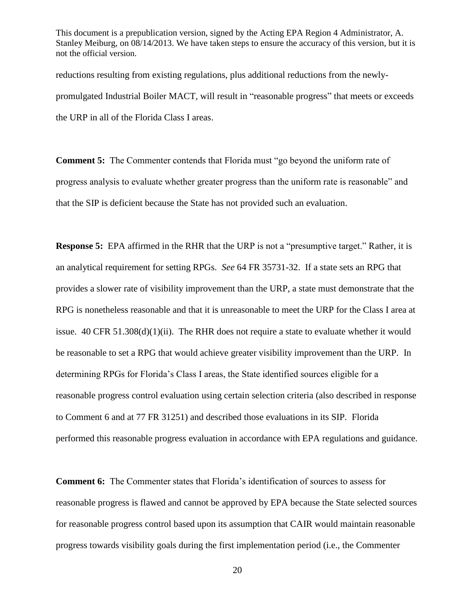reductions resulting from existing regulations, plus additional reductions from the newlypromulgated Industrial Boiler MACT, will result in "reasonable progress" that meets or exceeds the URP in all of the Florida Class I areas.

**Comment 5:** The Commenter contends that Florida must "go beyond the uniform rate of progress analysis to evaluate whether greater progress than the uniform rate is reasonable" and that the SIP is deficient because the State has not provided such an evaluation.

**Response 5:** EPA affirmed in the RHR that the URP is not a "presumptive target." Rather, it is an analytical requirement for setting RPGs. *See* 64 FR 35731-32. If a state sets an RPG that provides a slower rate of visibility improvement than the URP, a state must demonstrate that the RPG is nonetheless reasonable and that it is unreasonable to meet the URP for the Class I area at issue.  $40 \text{ CFR } 51.308(d)(1)(ii)$ . The RHR does not require a state to evaluate whether it would be reasonable to set a RPG that would achieve greater visibility improvement than the URP. In determining RPGs for Florida's Class I areas, the State identified sources eligible for a reasonable progress control evaluation using certain selection criteria (also described in response to Comment 6 and at 77 FR 31251) and described those evaluations in its SIP. Florida performed this reasonable progress evaluation in accordance with EPA regulations and guidance.

**Comment 6:** The Commenter states that Florida's identification of sources to assess for reasonable progress is flawed and cannot be approved by EPA because the State selected sources for reasonable progress control based upon its assumption that CAIR would maintain reasonable progress towards visibility goals during the first implementation period (i.e., the Commenter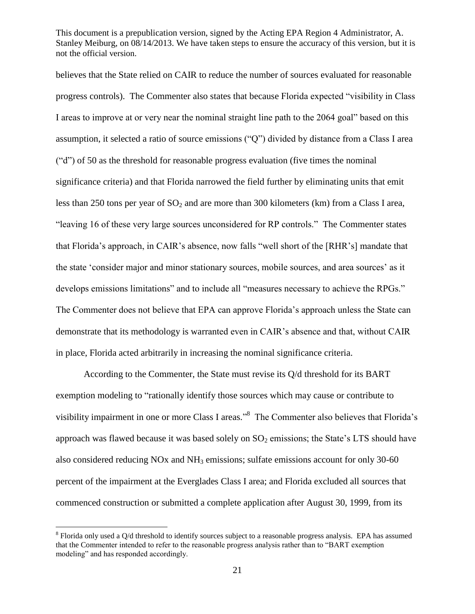believes that the State relied on CAIR to reduce the number of sources evaluated for reasonable progress controls). The Commenter also states that because Florida expected "visibility in Class" I areas to improve at or very near the nominal straight line path to the 2064 goal" based on this assumption, it selected a ratio of source emissions (" $Q$ ") divided by distance from a Class I area ("d") of 50 as the threshold for reasonable progress evaluation (five times the nominal significance criteria) and that Florida narrowed the field further by eliminating units that emit less than 250 tons per year of  $SO_2$  and are more than 300 kilometers (km) from a Class I area, "leaving 16 of these very large sources unconsidered for RP controls." The Commenter states that Florida's approach, in CAIR's absence, now falls "well short of the [RHR's] mandate that the state ‗consider major and minor stationary sources, mobile sources, and area sources' as it develops emissions limitations" and to include all "measures necessary to achieve the RPGs." The Commenter does not believe that EPA can approve Florida's approach unless the State can demonstrate that its methodology is warranted even in CAIR's absence and that, without CAIR in place, Florida acted arbitrarily in increasing the nominal significance criteria.

According to the Commenter, the State must revise its Q/d threshold for its BART exemption modeling to "rationally identify those sources which may cause or contribute to visibility impairment in one or more Class I areas."<sup>8</sup> The Commenter also believes that Florida's approach was flawed because it was based solely on  $SO_2$  emissions; the State's LTS should have also considered reducing NOx and NH<sub>3</sub> emissions; sulfate emissions account for only 30-60 percent of the impairment at the Everglades Class I area; and Florida excluded all sources that commenced construction or submitted a complete application after August 30, 1999, from its

 $8$  Florida only used a Q/d threshold to identify sources subject to a reasonable progress analysis. EPA has assumed that the Commenter intended to refer to the reasonable progress analysis rather than to "BART exemption" modeling" and has responded accordingly.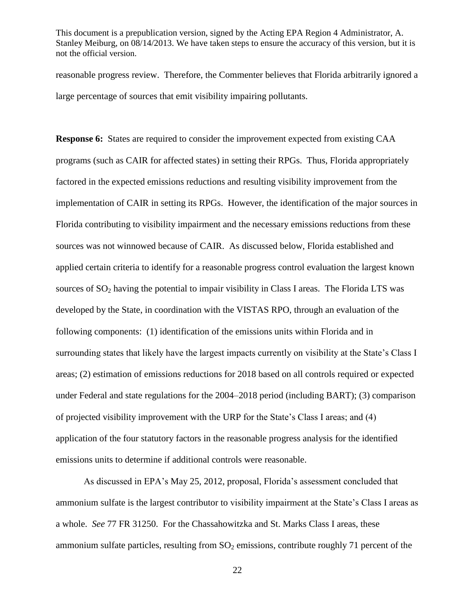reasonable progress review. Therefore, the Commenter believes that Florida arbitrarily ignored a large percentage of sources that emit visibility impairing pollutants.

**Response 6:** States are required to consider the improvement expected from existing CAA programs (such as CAIR for affected states) in setting their RPGs. Thus, Florida appropriately factored in the expected emissions reductions and resulting visibility improvement from the implementation of CAIR in setting its RPGs. However, the identification of the major sources in Florida contributing to visibility impairment and the necessary emissions reductions from these sources was not winnowed because of CAIR. As discussed below, Florida established and applied certain criteria to identify for a reasonable progress control evaluation the largest known sources of  $SO_2$  having the potential to impair visibility in Class I areas. The Florida LTS was developed by the State, in coordination with the VISTAS RPO, through an evaluation of the following components: (1) identification of the emissions units within Florida and in surrounding states that likely have the largest impacts currently on visibility at the State's Class I areas; (2) estimation of emissions reductions for 2018 based on all controls required or expected under Federal and state regulations for the 2004–2018 period (including BART); (3) comparison of projected visibility improvement with the URP for the State's Class I areas; and (4) application of the four statutory factors in the reasonable progress analysis for the identified emissions units to determine if additional controls were reasonable.

As discussed in EPA's May 25, 2012, proposal, Florida's assessment concluded that ammonium sulfate is the largest contributor to visibility impairment at the State's Class I areas as a whole. *See* 77 FR 31250. For the Chassahowitzka and St. Marks Class I areas, these ammonium sulfate particles, resulting from  $SO_2$  emissions, contribute roughly 71 percent of the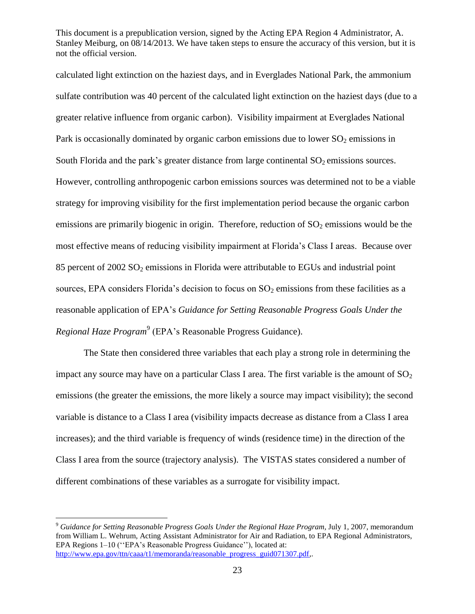calculated light extinction on the haziest days, and in Everglades National Park, the ammonium sulfate contribution was 40 percent of the calculated light extinction on the haziest days (due to a greater relative influence from organic carbon). Visibility impairment at Everglades National Park is occasionally dominated by organic carbon emissions due to lower  $SO<sub>2</sub>$  emissions in South Florida and the park's greater distance from large continental  $SO_2$  emissions sources. However, controlling anthropogenic carbon emissions sources was determined not to be a viable strategy for improving visibility for the first implementation period because the organic carbon emissions are primarily biogenic in origin. Therefore, reduction of  $SO_2$  emissions would be the most effective means of reducing visibility impairment at Florida's Class I areas. Because over 85 percent of  $2002$  SO<sub>2</sub> emissions in Florida were attributable to EGUs and industrial point sources, EPA considers Florida's decision to focus on  $SO_2$  emissions from these facilities as a reasonable application of EPA's *Guidance for Setting Reasonable Progress Goals Under the*  Regional Haze Program<sup>9</sup> (EPA's Reasonable Progress Guidance).

The State then considered three variables that each play a strong role in determining the impact any source may have on a particular Class I area. The first variable is the amount of  $SO<sub>2</sub>$ emissions (the greater the emissions, the more likely a source may impact visibility); the second variable is distance to a Class I area (visibility impacts decrease as distance from a Class I area increases); and the third variable is frequency of winds (residence time) in the direction of the Class I area from the source (trajectory analysis). The VISTAS states considered a number of different combinations of these variables as a surrogate for visibility impact.

<sup>9</sup> *Guidance for Setting Reasonable Progress Goals Under the Regional Haze Program,* July 1, 2007, memorandum from William L. Wehrum, Acting Assistant Administrator for Air and Radiation, to EPA Regional Administrators, EPA Regions 1–10 ("EPA's Reasonable Progress Guidance"), located at: [http://www.epa.gov/ttn/caaa/t1/memoranda/reasonable\\_progress\\_guid071307.pdf,](http://www.epa.gov/ttn/caaa/t1/memoranda/reasonable_progress_guid071307.pdf).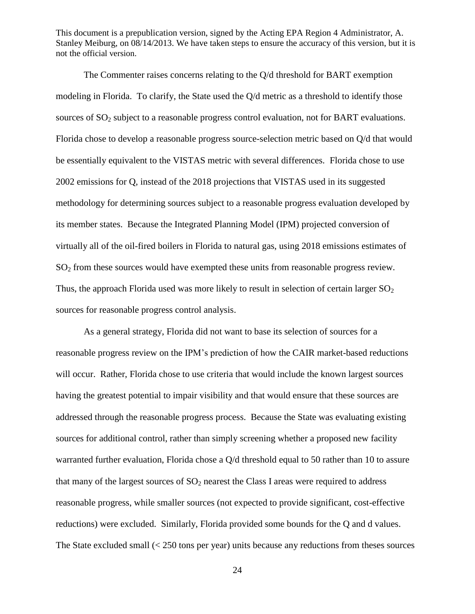The Commenter raises concerns relating to the Q/d threshold for BART exemption modeling in Florida. To clarify, the State used the Q/d metric as a threshold to identify those sources of  $SO_2$  subject to a reasonable progress control evaluation, not for BART evaluations. Florida chose to develop a reasonable progress source-selection metric based on Q/d that would be essentially equivalent to the VISTAS metric with several differences. Florida chose to use 2002 emissions for Q, instead of the 2018 projections that VISTAS used in its suggested methodology for determining sources subject to a reasonable progress evaluation developed by its member states. Because the Integrated Planning Model (IPM) projected conversion of virtually all of the oil-fired boilers in Florida to natural gas, using 2018 emissions estimates of  $SO<sub>2</sub>$  from these sources would have exempted these units from reasonable progress review. Thus, the approach Florida used was more likely to result in selection of certain larger  $SO<sub>2</sub>$ sources for reasonable progress control analysis.

As a general strategy, Florida did not want to base its selection of sources for a reasonable progress review on the IPM's prediction of how the CAIR market-based reductions will occur. Rather, Florida chose to use criteria that would include the known largest sources having the greatest potential to impair visibility and that would ensure that these sources are addressed through the reasonable progress process. Because the State was evaluating existing sources for additional control, rather than simply screening whether a proposed new facility warranted further evaluation, Florida chose a Q/d threshold equal to 50 rather than 10 to assure that many of the largest sources of  $SO<sub>2</sub>$  nearest the Class I areas were required to address reasonable progress, while smaller sources (not expected to provide significant, cost-effective reductions) were excluded. Similarly, Florida provided some bounds for the Q and d values. The State excluded small  $\left($  < 250 tons per year) units because any reductions from theses sources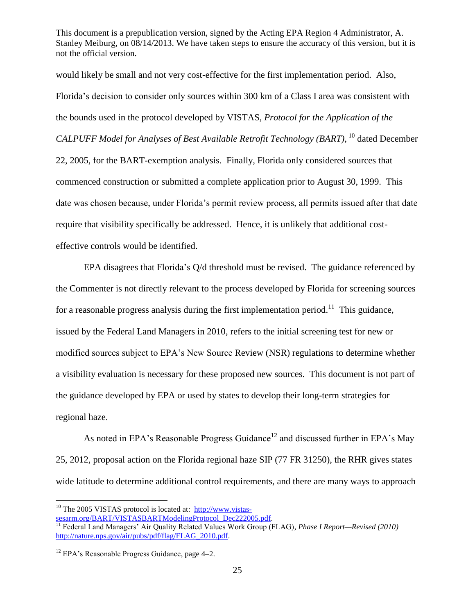would likely be small and not very cost-effective for the first implementation period. Also, Florida's decision to consider only sources within 300 km of a Class I area was consistent with the bounds used in the protocol developed by VISTAS, *Protocol for the Application of the CALPUFF Model for Analyses of Best Available Retrofit Technology (BART)*, <sup>10</sup> dated December 22, 2005, for the BART-exemption analysis. Finally, Florida only considered sources that commenced construction or submitted a complete application prior to August 30, 1999. This date was chosen because, under Florida's permit review process, all permits issued after that date require that visibility specifically be addressed. Hence, it is unlikely that additional costeffective controls would be identified.

EPA disagrees that Florida's Q/d threshold must be revised. The guidance referenced by the Commenter is not directly relevant to the process developed by Florida for screening sources for a reasonable progress analysis during the first implementation period.<sup>11</sup> This guidance, issued by the Federal Land Managers in 2010, refers to the initial screening test for new or modified sources subject to EPA's New Source Review (NSR) regulations to determine whether a visibility evaluation is necessary for these proposed new sources. This document is not part of the guidance developed by EPA or used by states to develop their long-term strategies for regional haze.

As noted in EPA's Reasonable Progress Guidance<sup>12</sup> and discussed further in EPA's May 25, 2012, proposal action on the Florida regional haze SIP (77 FR 31250), the RHR gives states wide latitude to determine additional control requirements, and there are many ways to approach

 $10$  The 2005 VISTAS protocol is located at: [http://www.vistas](http://www.vistas-sesarm.org/BART/VISTASBARTModelingProtocol_Dec222005.pdf)[sesarm.org/BART/VISTASBARTModelingProtocol\\_Dec222005.pdf.](http://www.vistas-sesarm.org/BART/VISTASBARTModelingProtocol_Dec222005.pdf)

<sup>11</sup> Federal Land Managers' Air Quality Related Values Work Group (FLAG), *Phase I Report—Revised (2010)* [http://nature.nps.gov/air/pubs/pdf/flag/FLAG\\_2010.pdf.](http://nature.nps.gov/air/pubs/pdf/flag/FLAG_2010.pdf)

 $12$  EPA's Reasonable Progress Guidance, page 4–2.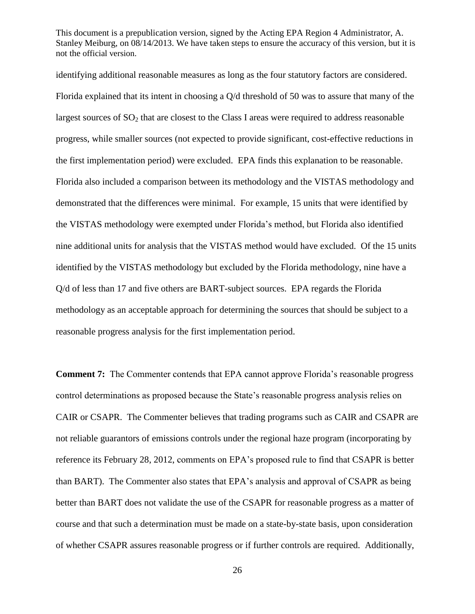identifying additional reasonable measures as long as the four statutory factors are considered. Florida explained that its intent in choosing a Q/d threshold of 50 was to assure that many of the largest sources of  $SO_2$  that are closest to the Class I areas were required to address reasonable progress, while smaller sources (not expected to provide significant, cost-effective reductions in the first implementation period) were excluded. EPA finds this explanation to be reasonable. Florida also included a comparison between its methodology and the VISTAS methodology and demonstrated that the differences were minimal. For example, 15 units that were identified by the VISTAS methodology were exempted under Florida's method, but Florida also identified nine additional units for analysis that the VISTAS method would have excluded. Of the 15 units identified by the VISTAS methodology but excluded by the Florida methodology, nine have a Q/d of less than 17 and five others are BART-subject sources. EPA regards the Florida methodology as an acceptable approach for determining the sources that should be subject to a reasonable progress analysis for the first implementation period.

**Comment 7:** The Commenter contends that EPA cannot approve Florida's reasonable progress control determinations as proposed because the State's reasonable progress analysis relies on CAIR or CSAPR. The Commenter believes that trading programs such as CAIR and CSAPR are not reliable guarantors of emissions controls under the regional haze program (incorporating by reference its February 28, 2012, comments on EPA's proposed rule to find that CSAPR is better than BART). The Commenter also states that EPA's analysis and approval of CSAPR as being better than BART does not validate the use of the CSAPR for reasonable progress as a matter of course and that such a determination must be made on a state-by-state basis, upon consideration of whether CSAPR assures reasonable progress or if further controls are required. Additionally,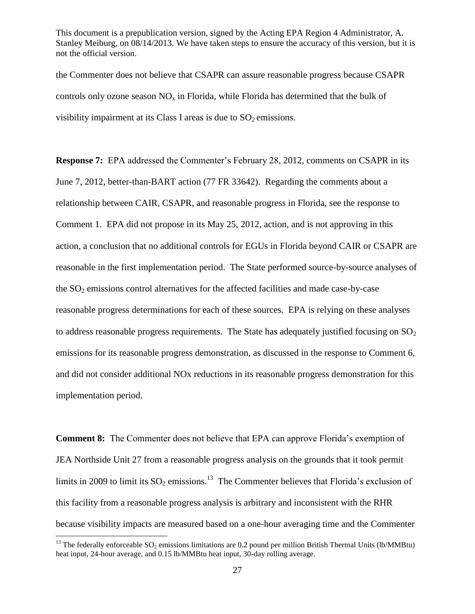the Commenter does not believe that CSAPR can assure reasonable progress because CSAPR controls only ozone season  $NO<sub>x</sub>$  in Florida, while Florida has determined that the bulk of visibility impairment at its Class I areas is due to  $SO<sub>2</sub>$  emissions.

**Response 7:** EPA addressed the Commenter's February 28, 2012, comments on CSAPR in its June 7, 2012, better-than-BART action (77 FR 33642). Regarding the comments about a relationship between CAIR, CSAPR, and reasonable progress in Florida, see the response to Comment 1. EPA did not propose in its May 25, 2012, action, and is not approving in this action, a conclusion that no additional controls for EGUs in Florida beyond CAIR or CSAPR are reasonable in the first implementation period. The State performed source-by-source analyses of the  $SO<sub>2</sub>$  emissions control alternatives for the affected facilities and made case-by-case reasonable progress determinations for each of these sources. EPA is relying on these analyses to address reasonable progress requirements. The State has adequately justified focusing on  $SO<sub>2</sub>$ emissions for its reasonable progress demonstration, as discussed in the response to Comment 6, and did not consider additional NOx reductions in its reasonable progress demonstration for this implementation period.

**Comment 8:** The Commenter does not believe that EPA can approve Florida's exemption of JEA Northside Unit 27 from a reasonable progress analysis on the grounds that it took permit limits in 2009 to limit its  $SO_2$  emissions.<sup>13</sup> The Commenter believes that Florida's exclusion of this facility from a reasonable progress analysis is arbitrary and inconsistent with the RHR because visibility impacts are measured based on a one-hour averaging time and the Commenter

<sup>&</sup>lt;sup>13</sup> The federally enforceable SO<sub>2</sub> emissions limitations are 0.2 pound per million British Thermal Units (lb/MMBtu) heat input, 24-hour average, and 0.15 lb/MMBtu heat input, 30-day rolling average.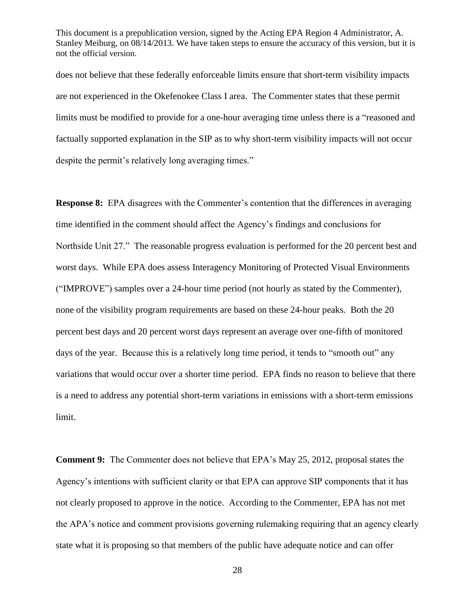does not believe that these federally enforceable limits ensure that short-term visibility impacts are not experienced in the Okefenokee Class I area. The Commenter states that these permit limits must be modified to provide for a one-hour averaging time unless there is a "reasoned and factually supported explanation in the SIP as to why short-term visibility impacts will not occur despite the permit's relatively long averaging times."

**Response 8:** EPA disagrees with the Commenter's contention that the differences in averaging time identified in the comment should affect the Agency's findings and conclusions for Northside Unit 27." The reasonable progress evaluation is performed for the 20 percent best and worst days. While EPA does assess Interagency Monitoring of Protected Visual Environments (―IMPROVE‖) samples over a 24-hour time period (not hourly as stated by the Commenter), none of the visibility program requirements are based on these 24-hour peaks. Both the 20 percent best days and 20 percent worst days represent an average over one-fifth of monitored days of the year. Because this is a relatively long time period, it tends to "smooth out" any variations that would occur over a shorter time period. EPA finds no reason to believe that there is a need to address any potential short-term variations in emissions with a short-term emissions limit.

**Comment 9:** The Commenter does not believe that EPA's May 25, 2012, proposal states the Agency's intentions with sufficient clarity or that EPA can approve SIP components that it has not clearly proposed to approve in the notice. According to the Commenter, EPA has not met the APA's notice and comment provisions governing rulemaking requiring that an agency clearly state what it is proposing so that members of the public have adequate notice and can offer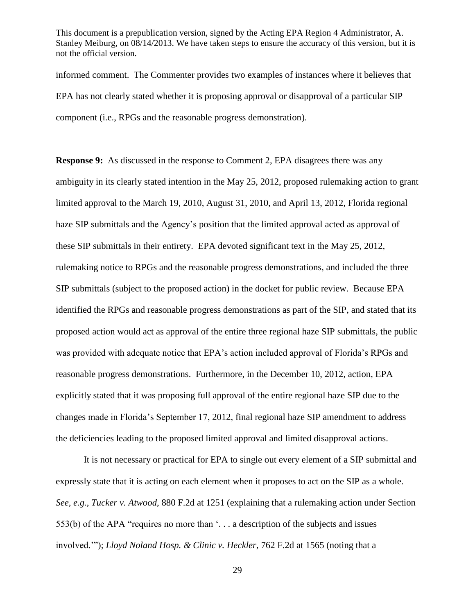informed comment. The Commenter provides two examples of instances where it believes that EPA has not clearly stated whether it is proposing approval or disapproval of a particular SIP component (i.e., RPGs and the reasonable progress demonstration).

**Response 9:** As discussed in the response to Comment 2, EPA disagrees there was any ambiguity in its clearly stated intention in the May 25, 2012, proposed rulemaking action to grant limited approval to the March 19, 2010, August 31, 2010, and April 13, 2012, Florida regional haze SIP submittals and the Agency's position that the limited approval acted as approval of these SIP submittals in their entirety. EPA devoted significant text in the May 25, 2012, rulemaking notice to RPGs and the reasonable progress demonstrations, and included the three SIP submittals (subject to the proposed action) in the docket for public review. Because EPA identified the RPGs and reasonable progress demonstrations as part of the SIP, and stated that its proposed action would act as approval of the entire three regional haze SIP submittals, the public was provided with adequate notice that EPA's action included approval of Florida's RPGs and reasonable progress demonstrations. Furthermore, in the December 10, 2012, action, EPA explicitly stated that it was proposing full approval of the entire regional haze SIP due to the changes made in Florida's September 17, 2012, final regional haze SIP amendment to address the deficiencies leading to the proposed limited approval and limited disapproval actions.

It is not necessary or practical for EPA to single out every element of a SIP submittal and expressly state that it is acting on each element when it proposes to act on the SIP as a whole. *See, e.g.*, *Tucker v. Atwood*, 880 F.2d at 1251 (explaining that a rulemaking action under Section 553(b) of the APA "requires no more than  $\ldots$  a description of the subjects and issues involved.""); *Lloyd Noland Hosp. & Clinic v. Heckler*, 762 F.2d at 1565 (noting that a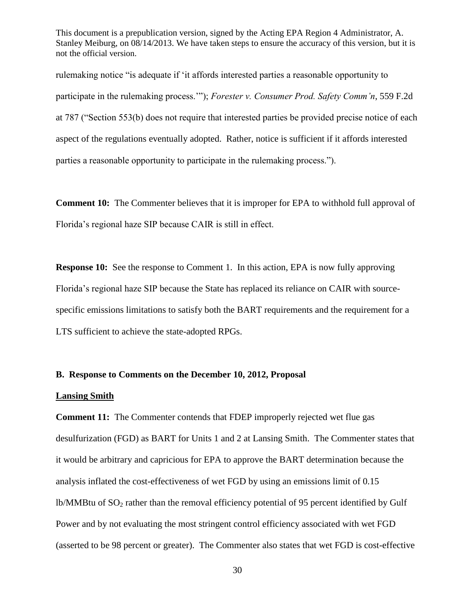rulemaking notice "is adequate if 'it affords interested parties a reasonable opportunity to participate in the rulemaking process.""); *Forester v. Consumer Prod. Safety Comm'n*, 559 F.2d at 787 ("Section 553(b) does not require that interested parties be provided precise notice of each aspect of the regulations eventually adopted. Rather, notice is sufficient if it affords interested parties a reasonable opportunity to participate in the rulemaking process.").

**Comment 10:** The Commenter believes that it is improper for EPA to withhold full approval of Florida's regional haze SIP because CAIR is still in effect.

**Response 10:** See the response to Comment 1. In this action, EPA is now fully approving Florida's regional haze SIP because the State has replaced its reliance on CAIR with sourcespecific emissions limitations to satisfy both the BART requirements and the requirement for a LTS sufficient to achieve the state-adopted RPGs.

#### **B. Response to Comments on the December 10, 2012, Proposal**

### **Lansing Smith**

**Comment 11:** The Commenter contends that FDEP improperly rejected wet flue gas desulfurization (FGD) as BART for Units 1 and 2 at Lansing Smith. The Commenter states that it would be arbitrary and capricious for EPA to approve the BART determination because the analysis inflated the cost-effectiveness of wet FGD by using an emissions limit of 0.15 lb/MMBtu of  $SO_2$  rather than the removal efficiency potential of 95 percent identified by Gulf Power and by not evaluating the most stringent control efficiency associated with wet FGD (asserted to be 98 percent or greater). The Commenter also states that wet FGD is cost-effective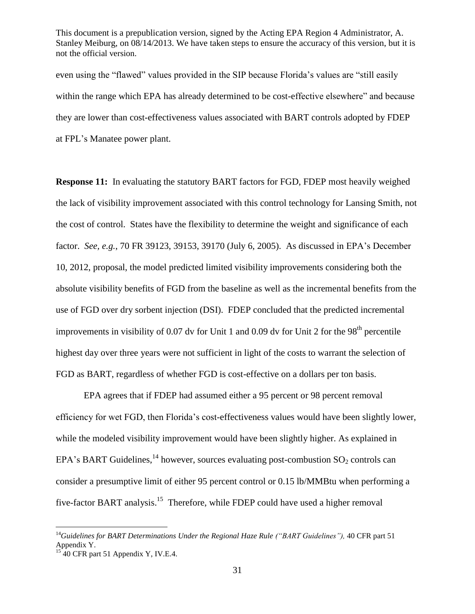even using the "flawed" values provided in the SIP because Florida's values are "still easily within the range which EPA has already determined to be cost-effective elsewhere" and because they are lower than cost-effectiveness values associated with BART controls adopted by FDEP at FPL's Manatee power plant.

**Response 11:** In evaluating the statutory BART factors for FGD, FDEP most heavily weighed the lack of visibility improvement associated with this control technology for Lansing Smith, not the cost of control. States have the flexibility to determine the weight and significance of each factor. *See, e.g.*, 70 FR 39123, 39153, 39170 (July 6, 2005). As discussed in EPA's December 10, 2012, proposal, the model predicted limited visibility improvements considering both the absolute visibility benefits of FGD from the baseline as well as the incremental benefits from the use of FGD over dry sorbent injection (DSI). FDEP concluded that the predicted incremental improvements in visibility of 0.07 dv for Unit 1 and 0.09 dv for Unit 2 for the  $98<sup>th</sup>$  percentile highest day over three years were not sufficient in light of the costs to warrant the selection of FGD as BART, regardless of whether FGD is cost-effective on a dollars per ton basis.

EPA agrees that if FDEP had assumed either a 95 percent or 98 percent removal efficiency for wet FGD, then Florida's cost-effectiveness values would have been slightly lower, while the modeled visibility improvement would have been slightly higher. As explained in EPA's BART Guidelines,  $^{14}$  however, sources evaluating post-combustion SO<sub>2</sub> controls can consider a presumptive limit of either 95 percent control or 0.15 lb/MMBtu when performing a five-factor BART analysis.<sup>15</sup> Therefore, while FDEP could have used a higher removal

<sup>14</sup>*Guidelines for BART Determinations Under the Regional Haze Rule ("BART Guidelines"),* 40 CFR part 51 Appendix Y.

 $15$  40 CFR part 51 Appendix Y, IV.E.4.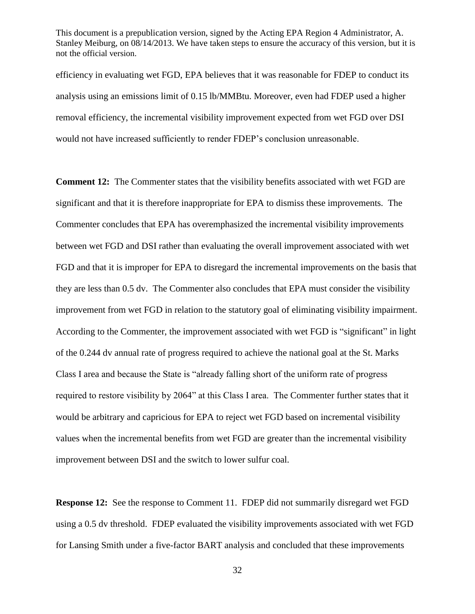efficiency in evaluating wet FGD, EPA believes that it was reasonable for FDEP to conduct its analysis using an emissions limit of 0.15 lb/MMBtu. Moreover, even had FDEP used a higher removal efficiency, the incremental visibility improvement expected from wet FGD over DSI would not have increased sufficiently to render FDEP's conclusion unreasonable.

**Comment 12:** The Commenter states that the visibility benefits associated with wet FGD are significant and that it is therefore inappropriate for EPA to dismiss these improvements. The Commenter concludes that EPA has overemphasized the incremental visibility improvements between wet FGD and DSI rather than evaluating the overall improvement associated with wet FGD and that it is improper for EPA to disregard the incremental improvements on the basis that they are less than 0.5 dv. The Commenter also concludes that EPA must consider the visibility improvement from wet FGD in relation to the statutory goal of eliminating visibility impairment. According to the Commenter, the improvement associated with wet FGD is "significant" in light of the 0.244 dv annual rate of progress required to achieve the national goal at the St. Marks Class I area and because the State is "already falling short of the uniform rate of progress required to restore visibility by 2064" at this Class I area. The Commenter further states that it would be arbitrary and capricious for EPA to reject wet FGD based on incremental visibility values when the incremental benefits from wet FGD are greater than the incremental visibility improvement between DSI and the switch to lower sulfur coal.

**Response 12:** See the response to Comment 11. FDEP did not summarily disregard wet FGD using a 0.5 dv threshold. FDEP evaluated the visibility improvements associated with wet FGD for Lansing Smith under a five-factor BART analysis and concluded that these improvements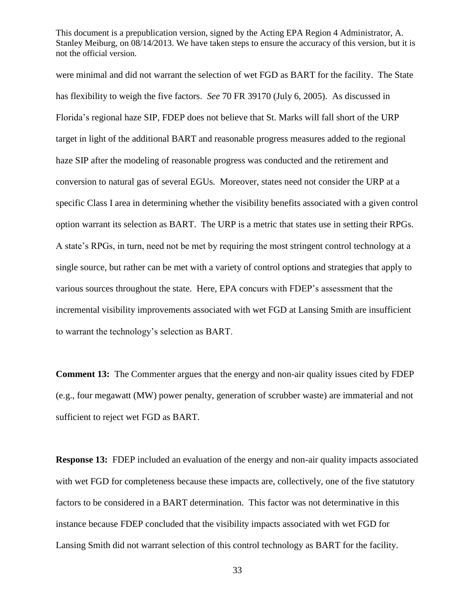were minimal and did not warrant the selection of wet FGD as BART for the facility. The State has flexibility to weigh the five factors. *See* 70 FR 39170 (July 6, 2005). As discussed in Florida's regional haze SIP, FDEP does not believe that St. Marks will fall short of the URP target in light of the additional BART and reasonable progress measures added to the regional haze SIP after the modeling of reasonable progress was conducted and the retirement and conversion to natural gas of several EGUs. Moreover, states need not consider the URP at a specific Class I area in determining whether the visibility benefits associated with a given control option warrant its selection as BART. The URP is a metric that states use in setting their RPGs. A state's RPGs, in turn, need not be met by requiring the most stringent control technology at a single source, but rather can be met with a variety of control options and strategies that apply to various sources throughout the state. Here, EPA concurs with FDEP's assessment that the incremental visibility improvements associated with wet FGD at Lansing Smith are insufficient to warrant the technology's selection as BART.

**Comment 13:** The Commenter argues that the energy and non-air quality issues cited by FDEP (e.g., four megawatt (MW) power penalty, generation of scrubber waste) are immaterial and not sufficient to reject wet FGD as BART.

**Response 13:** FDEP included an evaluation of the energy and non-air quality impacts associated with wet FGD for completeness because these impacts are, collectively, one of the five statutory factors to be considered in a BART determination. This factor was not determinative in this instance because FDEP concluded that the visibility impacts associated with wet FGD for Lansing Smith did not warrant selection of this control technology as BART for the facility.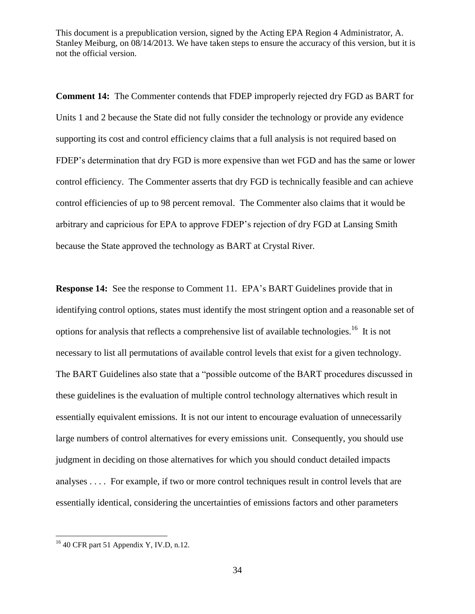**Comment 14:** The Commenter contends that FDEP improperly rejected dry FGD as BART for Units 1 and 2 because the State did not fully consider the technology or provide any evidence supporting its cost and control efficiency claims that a full analysis is not required based on FDEP's determination that dry FGD is more expensive than wet FGD and has the same or lower control efficiency. The Commenter asserts that dry FGD is technically feasible and can achieve control efficiencies of up to 98 percent removal. The Commenter also claims that it would be arbitrary and capricious for EPA to approve FDEP's rejection of dry FGD at Lansing Smith because the State approved the technology as BART at Crystal River.

**Response 14:** See the response to Comment 11. EPA's BART Guidelines provide that in identifying control options, states must identify the most stringent option and a reasonable set of options for analysis that reflects a comprehensive list of available technologies.<sup>16</sup> It is not necessary to list all permutations of available control levels that exist for a given technology. The BART Guidelines also state that a "possible outcome of the BART procedures discussed in these guidelines is the evaluation of multiple control technology alternatives which result in essentially equivalent emissions. It is not our intent to encourage evaluation of unnecessarily large numbers of control alternatives for every emissions unit. Consequently, you should use judgment in deciding on those alternatives for which you should conduct detailed impacts analyses . . . . For example, if two or more control techniques result in control levels that are essentially identical, considering the uncertainties of emissions factors and other parameters

 $16$  40 CFR part 51 Appendix Y, IV.D, n.12.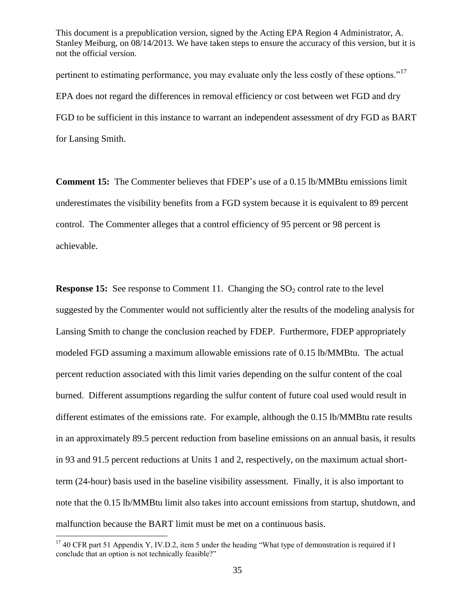pertinent to estimating performance, you may evaluate only the less costly of these options.<sup> $17$ </sup> EPA does not regard the differences in removal efficiency or cost between wet FGD and dry FGD to be sufficient in this instance to warrant an independent assessment of dry FGD as BART for Lansing Smith.

**Comment 15:** The Commenter believes that FDEP's use of a 0.15 lb/MMBtu emissions limit underestimates the visibility benefits from a FGD system because it is equivalent to 89 percent control. The Commenter alleges that a control efficiency of 95 percent or 98 percent is achievable.

**Response 15:** See response to Comment 11. Changing the SO<sub>2</sub> control rate to the level suggested by the Commenter would not sufficiently alter the results of the modeling analysis for Lansing Smith to change the conclusion reached by FDEP.Furthermore, FDEP appropriately modeled FGD assuming a maximum allowable emissions rate of 0.15 lb/MMBtu. The actual percent reduction associated with this limit varies depending on the sulfur content of the coal burned. Different assumptions regarding the sulfur content of future coal used would result in different estimates of the emissions rate. For example, although the 0.15 lb/MMBtu rate results in an approximately 89.5 percent reduction from baseline emissions on an annual basis, it results in 93 and 91.5 percent reductions at Units 1 and 2, respectively, on the maximum actual shortterm (24-hour) basis used in the baseline visibility assessment. Finally, it is also important to note that the 0.15 lb/MMBtu limit also takes into account emissions from startup, shutdown, and malfunction because the BART limit must be met on a continuous basis.

 $17$  40 CFR part 51 Appendix Y, IV.D.2, item 5 under the heading "What type of demonstration is required if I conclude that an option is not technically feasible?"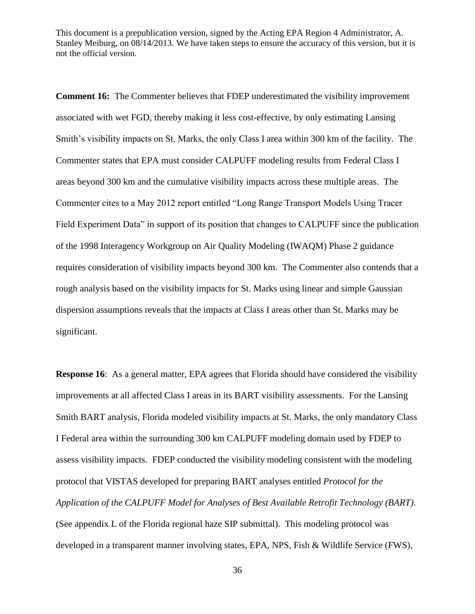**Comment 16:** The Commenter believes that FDEP underestimated the visibility improvement associated with wet FGD, thereby making it less cost-effective, by only estimating Lansing Smith's visibility impacts on St. Marks, the only Class I area within 300 km of the facility. The Commenter states that EPA must consider CALPUFF modeling results from Federal Class I areas beyond 300 km and the cumulative visibility impacts across these multiple areas. The Commenter cites to a May 2012 report entitled "Long Range Transport Models Using Tracer Field Experiment Data" in support of its position that changes to CALPUFF since the publication of the 1998 Interagency Workgroup on Air Quality Modeling (IWAQM) Phase 2 guidance requires consideration of visibility impacts beyond 300 km. The Commenter also contends that a rough analysis based on the visibility impacts for St. Marks using linear and simple Gaussian dispersion assumptions reveals that the impacts at Class I areas other than St. Marks may be significant.

**Response 16:** As a general matter, EPA agrees that Florida should have considered the visibility improvements at all affected Class I areas in its BART visibility assessments. For the Lansing Smith BART analysis, Florida modeled visibility impacts at St. Marks, the only mandatory Class I Federal area within the surrounding 300 km CALPUFF modeling domain used by FDEP to assess visibility impacts. FDEP conducted the visibility modeling consistent with the modeling protocol that VISTAS developed for preparing BART analyses entitled *Protocol for the Application of the CALPUFF Model for Analyses of Best Available Retrofit Technology (BART)*. (See appendix L of the Florida regional haze SIP submittal). This modeling protocol was developed in a transparent manner involving states, EPA, NPS, Fish & Wildlife Service (FWS),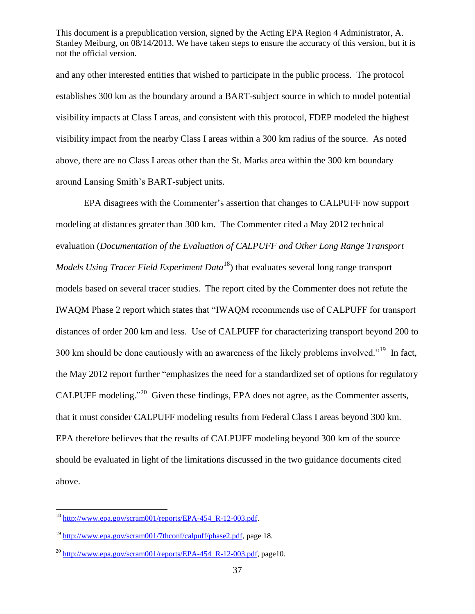and any other interested entities that wished to participate in the public process. The protocol establishes 300 km as the boundary around a BART-subject source in which to model potential visibility impacts at Class I areas, and consistent with this protocol, FDEP modeled the highest visibility impact from the nearby Class I areas within a 300 km radius of the source. As noted above, there are no Class I areas other than the St. Marks area within the 300 km boundary around Lansing Smith's BART-subject units.

EPA disagrees with the Commenter's assertion that changes to CALPUFF now support modeling at distances greater than 300 km. The Commenter cited a May 2012 technical evaluation (*Documentation of the Evaluation of CALPUFF and Other Long Range Transport Models Using Tracer Field Experiment Data*<sup>18</sup>) that evaluates several long range transport models based on several tracer studies. The report cited by the Commenter does not refute the IWAQM Phase 2 report which states that "IWAQM recommends use of CALPUFF for transport distances of order 200 km and less. Use of CALPUFF for characterizing transport beyond 200 to 300 km should be done cautiously with an awareness of the likely problems involved."<sup>19</sup> In fact, the May 2012 report further "emphasizes the need for a standardized set of options for regulatory CALPUFF modeling. $120$  Given these findings, EPA does not agree, as the Commenter asserts, that it must consider CALPUFF modeling results from Federal Class I areas beyond 300 km. EPA therefore believes that the results of CALPUFF modeling beyond 300 km of the source should be evaluated in light of the limitations discussed in the two guidance documents cited above.

<sup>&</sup>lt;sup>18</sup> [http://www.epa.gov/scram001/reports/EPA-454\\_R-12-003.pdf.](http://www.epa.gov/scram001/reports/EPA-454_R-12-003.pdf)

<sup>19</sup> [http://www.epa.gov/scram001/7thconf/calpuff/phase2.pdf,](http://www.epa.gov/scram001/7thconf/calpuff/phase2.pdf) page 18.

 $^{20}$  http://www.epa.gov/scram001/reports/EPA-454 R-12-003.pdf, page10.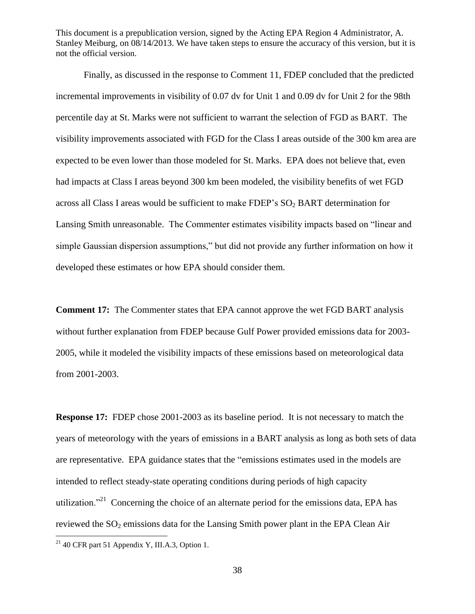Finally, as discussed in the response to Comment 11, FDEP concluded that the predicted incremental improvements in visibility of 0.07 dv for Unit 1 and 0.09 dv for Unit 2 for the 98th percentile day at St. Marks were not sufficient to warrant the selection of FGD as BART. The visibility improvements associated with FGD for the Class I areas outside of the 300 km area are expected to be even lower than those modeled for St. Marks. EPA does not believe that, even had impacts at Class I areas beyond 300 km been modeled, the visibility benefits of wet FGD across all Class I areas would be sufficient to make FDEP's  $SO<sub>2</sub> BART$  determination for Lansing Smith unreasonable. The Commenter estimates visibility impacts based on "linear and simple Gaussian dispersion assumptions," but did not provide any further information on how it developed these estimates or how EPA should consider them.

**Comment 17:** The Commenter states that EPA cannot approve the wet FGD BART analysis without further explanation from FDEP because Gulf Power provided emissions data for 2003- 2005, while it modeled the visibility impacts of these emissions based on meteorological data from 2001-2003.

**Response 17:** FDEP chose 2001-2003 as its baseline period. It is not necessary to match the years of meteorology with the years of emissions in a BART analysis as long as both sets of data are representative. EPA guidance states that the "emissions estimates used in the models are intended to reflect steady-state operating conditions during periods of high capacity utilization.<sup>221</sup> Concerning the choice of an alternate period for the emissions data, EPA has reviewed the  $SO_2$  emissions data for the Lansing Smith power plant in the EPA Clean Air  $\overline{a}$ 

 $21$  40 CFR part 51 Appendix Y, III.A.3, Option 1.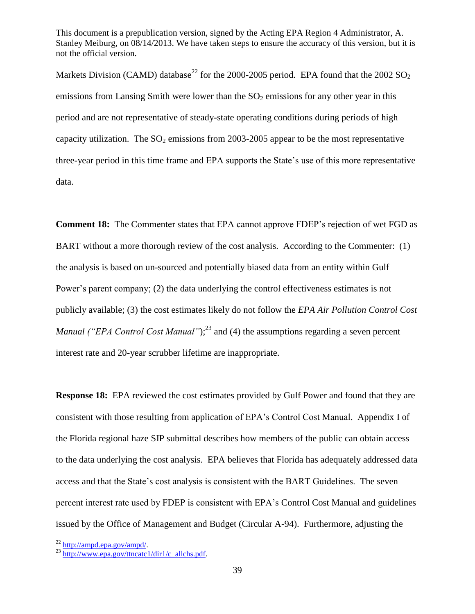Markets Division (CAMD) database<sup>22</sup> for the 2000-2005 period. EPA found that the 2002 SO<sub>2</sub> emissions from Lansing Smith were lower than the  $SO<sub>2</sub>$  emissions for any other year in this period and are not representative of steady-state operating conditions during periods of high capacity utilization. The  $SO_2$  emissions from 2003-2005 appear to be the most representative three-year period in this time frame and EPA supports the State's use of this more representative data.

**Comment 18:** The Commenter states that EPA cannot approve FDEP's rejection of wet FGD as BART without a more thorough review of the cost analysis. According to the Commenter: (1) the analysis is based on un-sourced and potentially biased data from an entity within Gulf Power's parent company; (2) the data underlying the control effectiveness estimates is not publicly available; (3) the cost estimates likely do not follow the *EPA Air Pollution Control Cost Manual ("EPA Control Cost Manual"*);<sup>23</sup> and (4) the assumptions regarding a seven percent interest rate and 20-year scrubber lifetime are inappropriate.

**Response 18:** EPA reviewed the cost estimates provided by Gulf Power and found that they are consistent with those resulting from application of EPA's Control Cost Manual. Appendix I of the Florida regional haze SIP submittal describes how members of the public can obtain access to the data underlying the cost analysis. EPA believes that Florida has adequately addressed data access and that the State's cost analysis is consistent with the BART Guidelines. The seven percent interest rate used by FDEP is consistent with EPA's Control Cost Manual and guidelines issued by the Office of Management and Budget (Circular A-94). Furthermore, adjusting the

<sup>&</sup>lt;sup>22</sup> [http://ampd.epa.gov/ampd/.](http://ampd.epa.gov/ampd/)

 $^{23}$  [http://www.epa.gov/ttncatc1/dir1/c\\_allchs.pdf.](http://www.epa.gov/ttncatc1/dir1/c_allchs.pdf)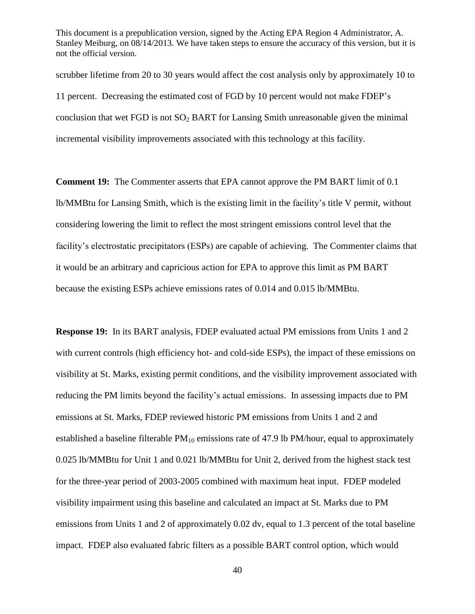scrubber lifetime from 20 to 30 years would affect the cost analysis only by approximately 10 to 11 percent. Decreasing the estimated cost of FGD by 10 percent would not make FDEP's conclusion that wet  $FGD$  is not  $SO_2$  BART for Lansing Smith unreasonable given the minimal incremental visibility improvements associated with this technology at this facility.

**Comment 19:** The Commenter asserts that EPA cannot approve the PM BART limit of 0.1 lb/MMBtu for Lansing Smith, which is the existing limit in the facility's title V permit, without considering lowering the limit to reflect the most stringent emissions control level that the facility's electrostatic precipitators (ESPs) are capable of achieving. The Commenter claims that it would be an arbitrary and capricious action for EPA to approve this limit as PM BART because the existing ESPs achieve emissions rates of 0.014 and 0.015 lb/MMBtu.

**Response 19:** In its BART analysis, FDEP evaluated actual PM emissions from Units 1 and 2 with current controls (high efficiency hot- and cold-side ESPs), the impact of these emissions on visibility at St. Marks, existing permit conditions, and the visibility improvement associated with reducing the PM limits beyond the facility's actual emissions. In assessing impacts due to PM emissions at St. Marks, FDEP reviewed historic PM emissions from Units 1 and 2 and established a baseline filterable  $PM_{10}$  emissions rate of 47.9 lb  $PM/hour$ , equal to approximately 0.025 lb/MMBtu for Unit 1 and 0.021 lb/MMBtu for Unit 2, derived from the highest stack test for the three-year period of 2003-2005 combined with maximum heat input. FDEP modeled visibility impairment using this baseline and calculated an impact at St. Marks due to PM emissions from Units 1 and 2 of approximately 0.02 dv, equal to 1.3 percent of the total baseline impact. FDEP also evaluated fabric filters as a possible BART control option, which would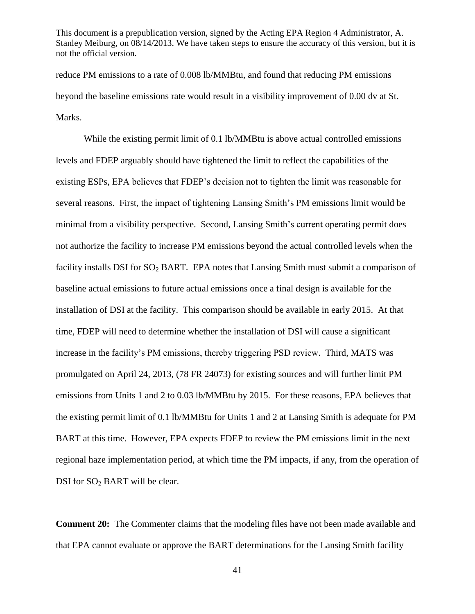reduce PM emissions to a rate of 0.008 lb/MMBtu, and found that reducing PM emissions beyond the baseline emissions rate would result in a visibility improvement of 0.00 dv at St. Marks.

While the existing permit limit of 0.1 lb/MMBtu is above actual controlled emissions levels and FDEP arguably should have tightened the limit to reflect the capabilities of the existing ESPs, EPA believes that FDEP's decision not to tighten the limit was reasonable for several reasons. First, the impact of tightening Lansing Smith's PM emissions limit would be minimal from a visibility perspective. Second, Lansing Smith's current operating permit does not authorize the facility to increase PM emissions beyond the actual controlled levels when the facility installs DSI for SO<sub>2</sub> BART. EPA notes that Lansing Smith must submit a comparison of baseline actual emissions to future actual emissions once a final design is available for the installation of DSI at the facility. This comparison should be available in early 2015. At that time, FDEP will need to determine whether the installation of DSI will cause a significant increase in the facility's PM emissions, thereby triggering PSD review. Third, MATS was promulgated on April 24, 2013, (78 FR 24073) for existing sources and will further limit PM emissions from Units 1 and 2 to 0.03 lb/MMBtu by 2015. For these reasons, EPA believes that the existing permit limit of 0.1 lb/MMBtu for Units 1 and 2 at Lansing Smith is adequate for PM BART at this time. However, EPA expects FDEP to review the PM emissions limit in the next regional haze implementation period, at which time the PM impacts, if any, from the operation of DSI for SO<sub>2</sub> BART will be clear.

**Comment 20:** The Commenter claims that the modeling files have not been made available and that EPA cannot evaluate or approve the BART determinations for the Lansing Smith facility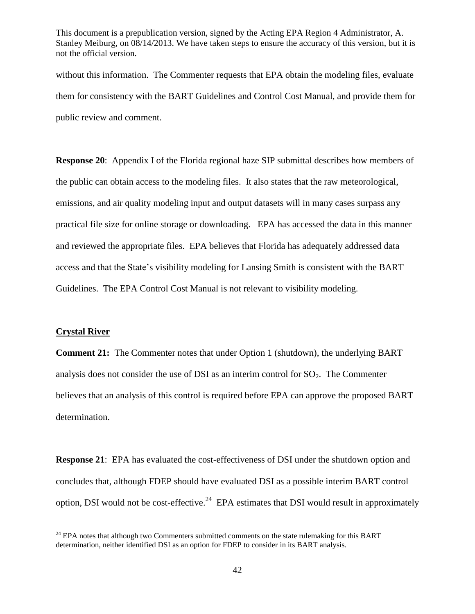without this information. The Commenter requests that EPA obtain the modeling files, evaluate them for consistency with the BART Guidelines and Control Cost Manual, and provide them for public review and comment.

**Response 20**: Appendix I of the Florida regional haze SIP submittal describes how members of the public can obtain access to the modeling files. It also states that the raw meteorological, emissions, and air quality modeling input and output datasets will in many cases surpass any practical file size for online storage or downloading. EPA has accessed the data in this manner and reviewed the appropriate files. EPA believes that Florida has adequately addressed data access and that the State's visibility modeling for Lansing Smith is consistent with the BART Guidelines. The EPA Control Cost Manual is not relevant to visibility modeling.

#### **Crystal River**

 $\overline{a}$ 

**Comment 21:** The Commenter notes that under Option 1 (shutdown), the underlying BART analysis does not consider the use of DSI as an interim control for  $SO<sub>2</sub>$ . The Commenter believes that an analysis of this control is required before EPA can approve the proposed BART determination.

**Response 21**: EPA has evaluated the cost-effectiveness of DSI under the shutdown option and concludes that, although FDEP should have evaluated DSI as a possible interim BART control option, DSI would not be cost-effective.<sup>24</sup> EPA estimates that DSI would result in approximately

<sup>&</sup>lt;sup>24</sup> EPA notes that although two Commenters submitted comments on the state rulemaking for this BART determination, neither identified DSI as an option for FDEP to consider in its BART analysis.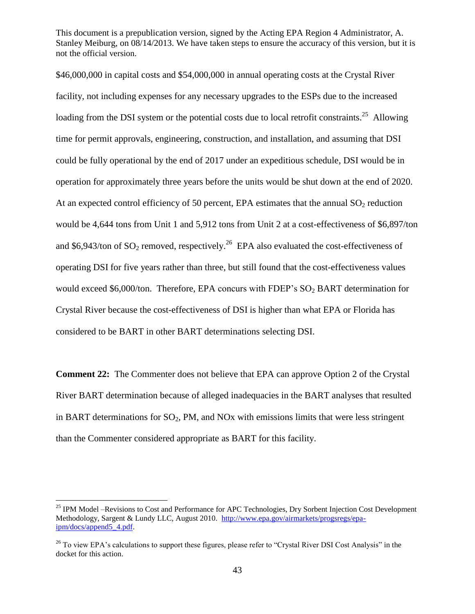\$46,000,000 in capital costs and \$54,000,000 in annual operating costs at the Crystal River facility, not including expenses for any necessary upgrades to the ESPs due to the increased loading from the DSI system or the potential costs due to local retrofit constraints.<sup>25</sup> Allowing time for permit approvals, engineering, construction, and installation, and assuming that DSI could be fully operational by the end of 2017 under an expeditious schedule, DSI would be in operation for approximately three years before the units would be shut down at the end of 2020. At an expected control efficiency of 50 percent, EPA estimates that the annual  $SO_2$  reduction would be 4,644 tons from Unit 1 and 5,912 tons from Unit 2 at a cost-effectiveness of \$6,897/ton and \$6,943/ton of SO<sub>2</sub> removed, respectively.<sup>26</sup> EPA also evaluated the cost-effectiveness of operating DSI for five years rather than three, but still found that the cost-effectiveness values would exceed \$6,000/ton. Therefore, EPA concurs with FDEP's  $SO_2$  BART determination for Crystal River because the cost-effectiveness of DSI is higher than what EPA or Florida has considered to be BART in other BART determinations selecting DSI.

**Comment 22:** The Commenter does not believe that EPA can approve Option 2 of the Crystal River BART determination because of alleged inadequacies in the BART analyses that resulted in BART determinations for  $SO_2$ , PM, and NOx with emissions limits that were less stringent than the Commenter considered appropriate as BART for this facility.

<sup>&</sup>lt;sup>25</sup> IPM Model –Revisions to Cost and Performance for APC Technologies, Dry Sorbent Injection Cost Development Methodology, Sargent & Lundy LLC, August 2010. [http://www.epa.gov/airmarkets/progsregs/epa](http://www.epa.gov/airmarkets/progsregs/epa-ipm/docs/append5_4.pdf)[ipm/docs/append5\\_4.pdf.](http://www.epa.gov/airmarkets/progsregs/epa-ipm/docs/append5_4.pdf)

<sup>&</sup>lt;sup>26</sup> To view EPA's calculations to support these figures, please refer to "Crystal River DSI Cost Analysis" in the docket for this action.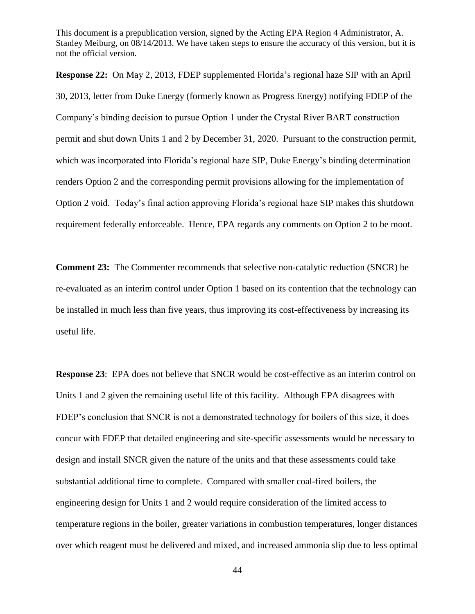**Response 22:** On May 2, 2013, FDEP supplemented Florida's regional haze SIP with an April 30, 2013, letter from Duke Energy (formerly known as Progress Energy) notifying FDEP of the Company's binding decision to pursue Option 1 under the Crystal River BART construction permit and shut down Units 1 and 2 by December 31, 2020. Pursuant to the construction permit, which was incorporated into Florida's regional haze SIP, Duke Energy's binding determination renders Option 2 and the corresponding permit provisions allowing for the implementation of Option 2 void. Today's final action approving Florida's regional haze SIP makes this shutdown requirement federally enforceable. Hence, EPA regards any comments on Option 2 to be moot.

**Comment 23:** The Commenter recommends that selective non-catalytic reduction (SNCR) be re-evaluated as an interim control under Option 1 based on its contention that the technology can be installed in much less than five years, thus improving its cost-effectiveness by increasing its useful life.

**Response 23**: EPA does not believe that SNCR would be cost-effective as an interim control on Units 1 and 2 given the remaining useful life of this facility. Although EPA disagrees with FDEP's conclusion that SNCR is not a demonstrated technology for boilers of this size, it does concur with FDEP that detailed engineering and site-specific assessments would be necessary to design and install SNCR given the nature of the units and that these assessments could take substantial additional time to complete. Compared with smaller coal-fired boilers, the engineering design for Units 1 and 2 would require consideration of the limited access to temperature regions in the boiler, greater variations in combustion temperatures, longer distances over which reagent must be delivered and mixed, and increased ammonia slip due to less optimal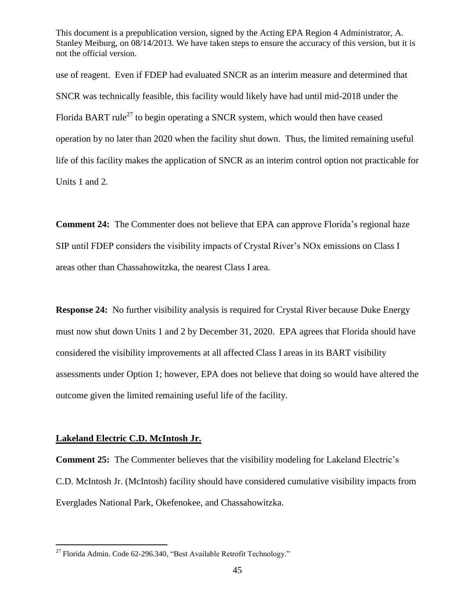use of reagent. Even if FDEP had evaluated SNCR as an interim measure and determined that SNCR was technically feasible, this facility would likely have had until mid-2018 under the Florida BART rule<sup>27</sup> to begin operating a SNCR system, which would then have ceased operation by no later than 2020 when the facility shut down. Thus, the limited remaining useful life of this facility makes the application of SNCR as an interim control option not practicable for Units 1 and 2.

**Comment 24:** The Commenter does not believe that EPA can approve Florida's regional haze SIP until FDEP considers the visibility impacts of Crystal River's NOx emissions on Class I areas other than Chassahowitzka, the nearest Class I area.

**Response 24:** No further visibility analysis is required for Crystal River because Duke Energy must now shut down Units 1 and 2 by December 31, 2020. EPA agrees that Florida should have considered the visibility improvements at all affected Class I areas in its BART visibility assessments under Option 1; however, EPA does not believe that doing so would have altered the outcome given the limited remaining useful life of the facility.

#### **Lakeland Electric C.D. McIntosh Jr.**

 $\overline{a}$ 

**Comment 25:** The Commenter believes that the visibility modeling for Lakeland Electric's C.D. McIntosh Jr. (McIntosh) facility should have considered cumulative visibility impacts from Everglades National Park, Okefenokee, and Chassahowitzka.

 $27$  Florida Admin. Code 62-296.340, "Best Available Retrofit Technology."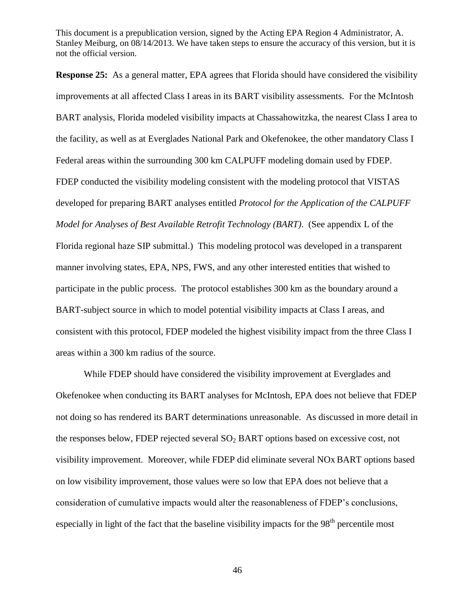**Response 25:** As a general matter, EPA agrees that Florida should have considered the visibility improvements at all affected Class I areas in its BART visibility assessments. For the McIntosh BART analysis, Florida modeled visibility impacts at Chassahowitzka, the nearest Class I area to the facility, as well as at Everglades National Park and Okefenokee, the other mandatory Class I Federal areas within the surrounding 300 km CALPUFF modeling domain used by FDEP. FDEP conducted the visibility modeling consistent with the modeling protocol that VISTAS developed for preparing BART analyses entitled *Protocol for the Application of the CALPUFF Model for Analyses of Best Available Retrofit Technology (BART)*. (See appendix L of the Florida regional haze SIP submittal.) This modeling protocol was developed in a transparent manner involving states, EPA, NPS, FWS, and any other interested entities that wished to participate in the public process. The protocol establishes 300 km as the boundary around a BART-subject source in which to model potential visibility impacts at Class I areas, and consistent with this protocol, FDEP modeled the highest visibility impact from the three Class I areas within a 300 km radius of the source.

While FDEP should have considered the visibility improvement at Everglades and Okefenokee when conducting its BART analyses for McIntosh, EPA does not believe that FDEP not doing so has rendered its BART determinations unreasonable. As discussed in more detail in the responses below, FDEP rejected several  $SO<sub>2</sub>$  BART options based on excessive cost, not visibility improvement. Moreover, while FDEP did eliminate several NOx BART options based on low visibility improvement, those values were so low that EPA does not believe that a consideration of cumulative impacts would alter the reasonableness of FDEP's conclusions, especially in light of the fact that the baseline visibility impacts for the 98<sup>th</sup> percentile most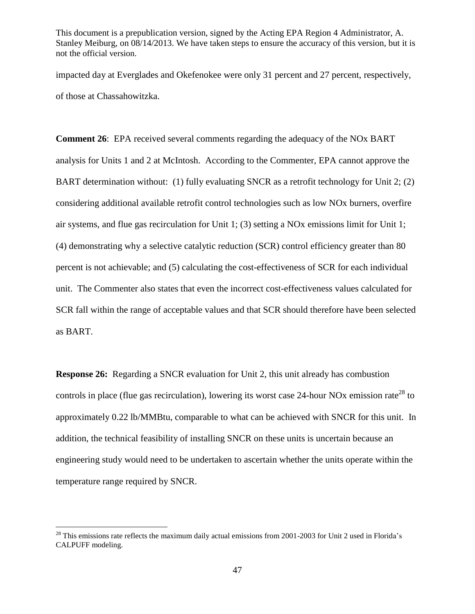impacted day at Everglades and Okefenokee were only 31 percent and 27 percent, respectively, of those at Chassahowitzka.

**Comment 26**: EPA received several comments regarding the adequacy of the NOx BART analysis for Units 1 and 2 at McIntosh. According to the Commenter, EPA cannot approve the BART determination without: (1) fully evaluating SNCR as a retrofit technology for Unit 2; (2) considering additional available retrofit control technologies such as low NOx burners, overfire air systems, and flue gas recirculation for Unit 1; (3) setting a NOx emissions limit for Unit 1; (4) demonstrating why a selective catalytic reduction (SCR) control efficiency greater than 80 percent is not achievable; and (5) calculating the cost-effectiveness of SCR for each individual unit. The Commenter also states that even the incorrect cost-effectiveness values calculated for SCR fall within the range of acceptable values and that SCR should therefore have been selected as BART.

**Response 26:** Regarding a SNCR evaluation for Unit 2, this unit already has combustion controls in place (flue gas recirculation), lowering its worst case 24-hour NOx emission rate<sup>28</sup> to approximately 0.22 lb/MMBtu, comparable to what can be achieved with SNCR for this unit. In addition, the technical feasibility of installing SNCR on these units is uncertain because an engineering study would need to be undertaken to ascertain whether the units operate within the temperature range required by SNCR.

 $^{28}$  This emissions rate reflects the maximum daily actual emissions from 2001-2003 for Unit 2 used in Florida's CALPUFF modeling.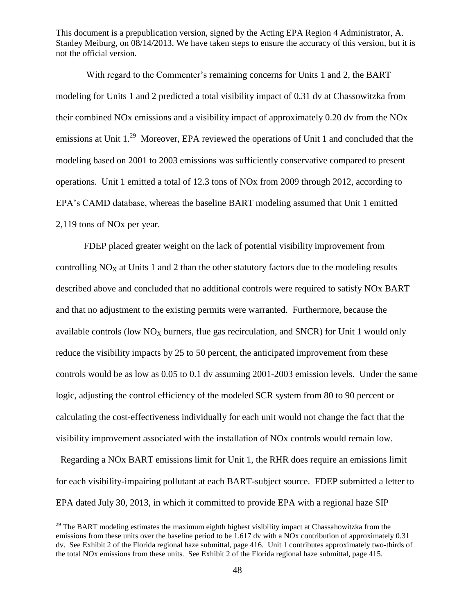With regard to the Commenter's remaining concerns for Units 1 and 2, the BART modeling for Units 1 and 2 predicted a total visibility impact of 0.31 dv at Chassowitzka from their combined NOx emissions and a visibility impact of approximately 0.20 dv from the NOx emissions at Unit  $1.^{29}$  Moreover, EPA reviewed the operations of Unit 1 and concluded that the modeling based on 2001 to 2003 emissions was sufficiently conservative compared to present operations. Unit 1 emitted a total of 12.3 tons of NOx from 2009 through 2012, according to EPA's CAMD database, whereas the baseline BART modeling assumed that Unit 1 emitted 2,119 tons of NOx per year.

FDEP placed greater weight on the lack of potential visibility improvement from controlling  $NO<sub>x</sub>$  at Units 1 and 2 than the other statutory factors due to the modeling results described above and concluded that no additional controls were required to satisfy NOx BART and that no adjustment to the existing permits were warranted. Furthermore, because the available controls (low  $NO<sub>X</sub>$  burners, flue gas recirculation, and SNCR) for Unit 1 would only reduce the visibility impacts by 25 to 50 percent, the anticipated improvement from these controls would be as low as 0.05 to 0.1 dv assuming 2001-2003 emission levels. Under the same logic, adjusting the control efficiency of the modeled SCR system from 80 to 90 percent or calculating the cost-effectiveness individually for each unit would not change the fact that the visibility improvement associated with the installation of NOx controls would remain low.

 Regarding a NOx BART emissions limit for Unit 1, the RHR does require an emissions limit for each visibility-impairing pollutant at each BART-subject source. FDEP submitted a letter to EPA dated July 30, 2013, in which it committed to provide EPA with a regional haze SIP

 $29$  The BART modeling estimates the maximum eighth highest visibility impact at Chassahowitzka from the emissions from these units over the baseline period to be 1.617 dv with a NOx contribution of approximately 0.31 dv. See Exhibit 2 of the Florida regional haze submittal, page 416. Unit 1 contributes approximately two-thirds of the total NOx emissions from these units. See Exhibit 2 of the Florida regional haze submittal, page 415.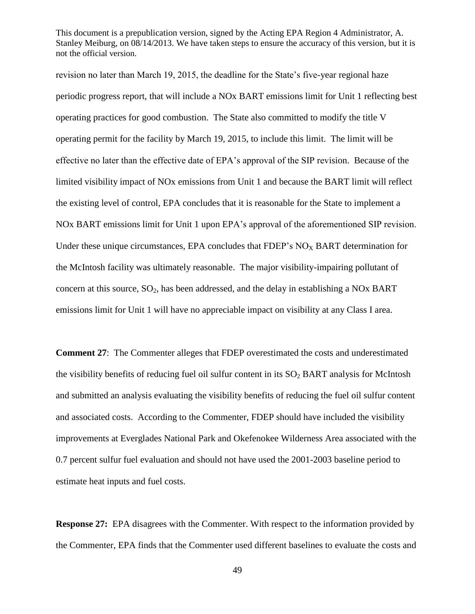revision no later than March 19, 2015, the deadline for the State's five-year regional haze periodic progress report, that will include a NOx BART emissions limit for Unit 1 reflecting best operating practices for good combustion. The State also committed to modify the title V operating permit for the facility by March 19, 2015, to include this limit. The limit will be effective no later than the effective date of EPA's approval of the SIP revision. Because of the limited visibility impact of NOx emissions from Unit 1 and because the BART limit will reflect the existing level of control, EPA concludes that it is reasonable for the State to implement a NOx BART emissions limit for Unit 1 upon EPA's approval of the aforementioned SIP revision. Under these unique circumstances, EPA concludes that  $FDEF's NO<sub>X</sub> BART$  determination for the McIntosh facility was ultimately reasonable. The major visibility-impairing pollutant of concern at this source,  $SO_2$ , has been addressed, and the delay in establishing a NOx BART emissions limit for Unit 1 will have no appreciable impact on visibility at any Class I area.

**Comment 27**: The Commenter alleges that FDEP overestimated the costs and underestimated the visibility benefits of reducing fuel oil sulfur content in its  $SO<sub>2</sub> BART$  analysis for McIntosh and submitted an analysis evaluating the visibility benefits of reducing the fuel oil sulfur content and associated costs. According to the Commenter, FDEP should have included the visibility improvements at Everglades National Park and Okefenokee Wilderness Area associated with the 0.7 percent sulfur fuel evaluation and should not have used the 2001-2003 baseline period to estimate heat inputs and fuel costs.

**Response 27:** EPA disagrees with the Commenter. With respect to the information provided by the Commenter, EPA finds that the Commenter used different baselines to evaluate the costs and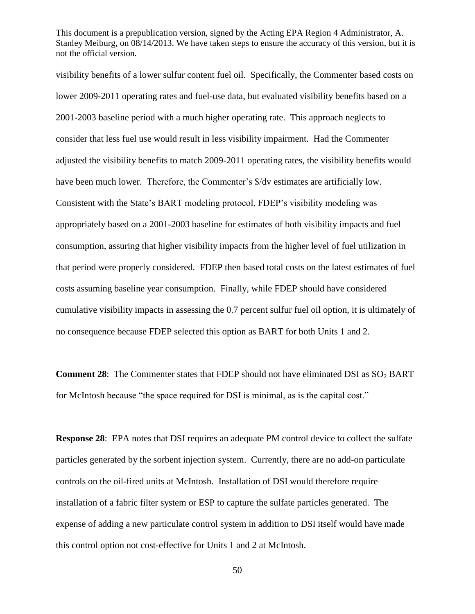visibility benefits of a lower sulfur content fuel oil. Specifically, the Commenter based costs on lower 2009-2011 operating rates and fuel-use data, but evaluated visibility benefits based on a 2001-2003 baseline period with a much higher operating rate. This approach neglects to consider that less fuel use would result in less visibility impairment. Had the Commenter adjusted the visibility benefits to match 2009-2011 operating rates, the visibility benefits would have been much lower. Therefore, the Commenter's \$/dv estimates are artificially low. Consistent with the State's BART modeling protocol, FDEP's visibility modeling was appropriately based on a 2001-2003 baseline for estimates of both visibility impacts and fuel consumption, assuring that higher visibility impacts from the higher level of fuel utilization in that period were properly considered. FDEP then based total costs on the latest estimates of fuel costs assuming baseline year consumption. Finally, while FDEP should have considered cumulative visibility impacts in assessing the 0.7 percent sulfur fuel oil option, it is ultimately of no consequence because FDEP selected this option as BART for both Units 1 and 2.

**Comment 28:** The Commenter states that FDEP should not have eliminated DSI as SO<sub>2</sub> BART for McIntosh because "the space required for DSI is minimal, as is the capital cost."

**Response 28**: EPA notes that DSI requires an adequate PM control device to collect the sulfate particles generated by the sorbent injection system. Currently, there are no add-on particulate controls on the oil-fired units at McIntosh. Installation of DSI would therefore require installation of a fabric filter system or ESP to capture the sulfate particles generated. The expense of adding a new particulate control system in addition to DSI itself would have made this control option not cost-effective for Units 1 and 2 at McIntosh.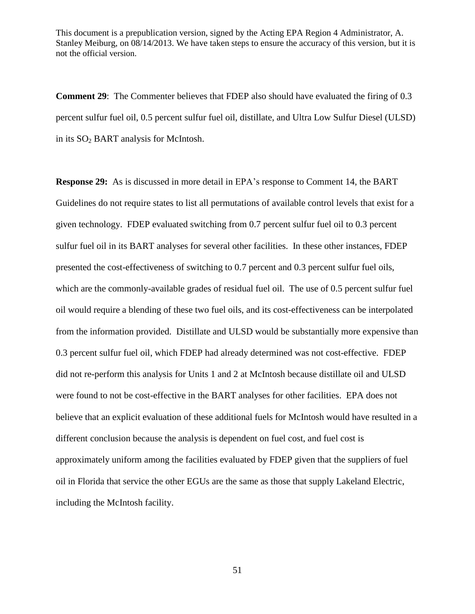**Comment 29**: The Commenter believes that FDEP also should have evaluated the firing of 0.3 percent sulfur fuel oil, 0.5 percent sulfur fuel oil, distillate, and Ultra Low Sulfur Diesel (ULSD) in its SO<sub>2</sub> BART analysis for McIntosh.

**Response 29:** As is discussed in more detail in EPA's response to Comment 14, the BART Guidelines do not require states to list all permutations of available control levels that exist for a given technology. FDEP evaluated switching from 0.7 percent sulfur fuel oil to 0.3 percent sulfur fuel oil in its BART analyses for several other facilities. In these other instances, FDEP presented the cost-effectiveness of switching to 0.7 percent and 0.3 percent sulfur fuel oils, which are the commonly-available grades of residual fuel oil. The use of 0.5 percent sulfur fuel oil would require a blending of these two fuel oils, and its cost-effectiveness can be interpolated from the information provided. Distillate and ULSD would be substantially more expensive than 0.3 percent sulfur fuel oil, which FDEP had already determined was not cost-effective. FDEP did not re-perform this analysis for Units 1 and 2 at McIntosh because distillate oil and ULSD were found to not be cost-effective in the BART analyses for other facilities. EPA does not believe that an explicit evaluation of these additional fuels for McIntosh would have resulted in a different conclusion because the analysis is dependent on fuel cost, and fuel cost is approximately uniform among the facilities evaluated by FDEP given that the suppliers of fuel oil in Florida that service the other EGUs are the same as those that supply Lakeland Electric, including the McIntosh facility.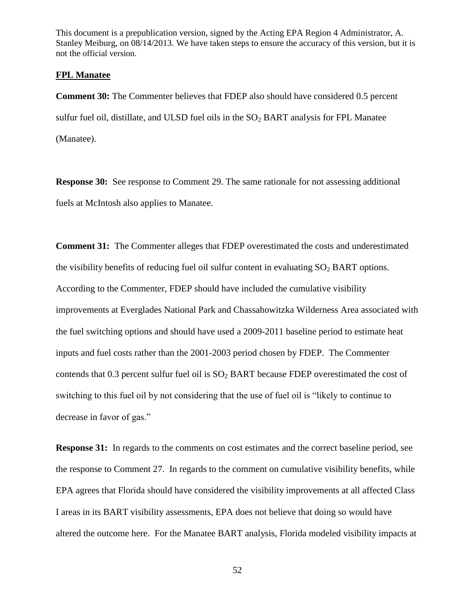#### **FPL Manatee**

**Comment 30:** The Commenter believes that FDEP also should have considered 0.5 percent sulfur fuel oil, distillate, and ULSD fuel oils in the  $SO<sub>2</sub> BART$  analysis for FPL Manatee (Manatee).

**Response 30:** See response to Comment 29. The same rationale for not assessing additional fuels at McIntosh also applies to Manatee.

**Comment 31:** The Commenter alleges that FDEP overestimated the costs and underestimated the visibility benefits of reducing fuel oil sulfur content in evaluating  $SO<sub>2</sub> BART$  options. According to the Commenter, FDEP should have included the cumulative visibility improvements at Everglades National Park and Chassahowitzka Wilderness Area associated with the fuel switching options and should have used a 2009-2011 baseline period to estimate heat inputs and fuel costs rather than the 2001-2003 period chosen by FDEP. The Commenter contends that  $0.3$  percent sulfur fuel oil is  $SO<sub>2</sub>$  BART because FDEP overestimated the cost of switching to this fuel oil by not considering that the use of fuel oil is "likely to continue to decrease in favor of gas."

**Response 31:** In regards to the comments on cost estimates and the correct baseline period, see the response to Comment 27. In regards to the comment on cumulative visibility benefits, while EPA agrees that Florida should have considered the visibility improvements at all affected Class I areas in its BART visibility assessments, EPA does not believe that doing so would have altered the outcome here. For the Manatee BART analysis, Florida modeled visibility impacts at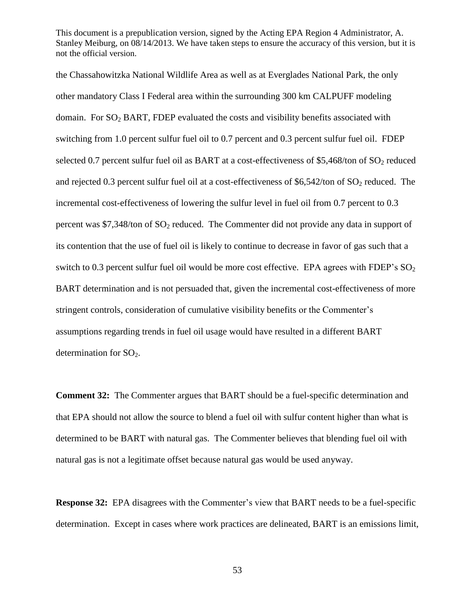the Chassahowitzka National Wildlife Area as well as at Everglades National Park, the only other mandatory Class I Federal area within the surrounding 300 km CALPUFF modeling domain. For  $SO_2$  BART, FDEP evaluated the costs and visibility benefits associated with switching from 1.0 percent sulfur fuel oil to 0.7 percent and 0.3 percent sulfur fuel oil. FDEP selected 0.7 percent sulfur fuel oil as BART at a cost-effectiveness of \$5,468/ton of  $SO<sub>2</sub>$  reduced and rejected 0.3 percent sulfur fuel oil at a cost-effectiveness of \$6,542/ton of  $SO_2$  reduced. The incremental cost-effectiveness of lowering the sulfur level in fuel oil from 0.7 percent to 0.3 percent was  $\frac{1}{2}$ , 348/ton of SO<sub>2</sub> reduced. The Commenter did not provide any data in support of its contention that the use of fuel oil is likely to continue to decrease in favor of gas such that a switch to 0.3 percent sulfur fuel oil would be more cost effective. EPA agrees with FDEP's  $SO<sub>2</sub>$ BART determination and is not persuaded that, given the incremental cost-effectiveness of more stringent controls, consideration of cumulative visibility benefits or the Commenter's assumptions regarding trends in fuel oil usage would have resulted in a different BART determination for  $SO_2$ .

**Comment 32:** The Commenter argues that BART should be a fuel-specific determination and that EPA should not allow the source to blend a fuel oil with sulfur content higher than what is determined to be BART with natural gas. The Commenter believes that blending fuel oil with natural gas is not a legitimate offset because natural gas would be used anyway.

**Response 32:** EPA disagrees with the Commenter's view that BART needs to be a fuel-specific determination. Except in cases where work practices are delineated, BART is an emissions limit,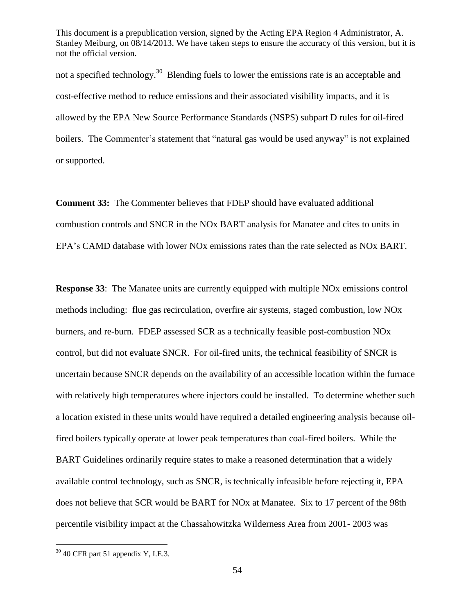not a specified technology.<sup>30</sup> Blending fuels to lower the emissions rate is an acceptable and cost-effective method to reduce emissions and their associated visibility impacts, and it is allowed by the EPA New Source Performance Standards (NSPS) subpart D rules for oil-fired boilers. The Commenter's statement that "natural gas would be used anyway" is not explained or supported.

**Comment 33:** The Commenter believes that FDEP should have evaluated additional combustion controls and SNCR in the NOx BART analysis for Manatee and cites to units in EPA's CAMD database with lower NOx emissions rates than the rate selected as NOx BART.

**Response 33**: The Manatee units are currently equipped with multiple NOx emissions control methods including: flue gas recirculation, overfire air systems, staged combustion, low NOx burners, and re-burn. FDEP assessed SCR as a technically feasible post-combustion NOx control, but did not evaluate SNCR. For oil-fired units, the technical feasibility of SNCR is uncertain because SNCR depends on the availability of an accessible location within the furnace with relatively high temperatures where injectors could be installed. To determine whether such a location existed in these units would have required a detailed engineering analysis because oilfired boilers typically operate at lower peak temperatures than coal-fired boilers. While the BART Guidelines ordinarily require states to make a reasoned determination that a widely available control technology, such as SNCR, is technically infeasible before rejecting it, EPA does not believe that SCR would be BART for NOx at Manatee. Six to 17 percent of the 98th percentile visibility impact at the Chassahowitzka Wilderness Area from 2001- 2003 was

 $30$  40 CFR part 51 appendix Y, I.E.3.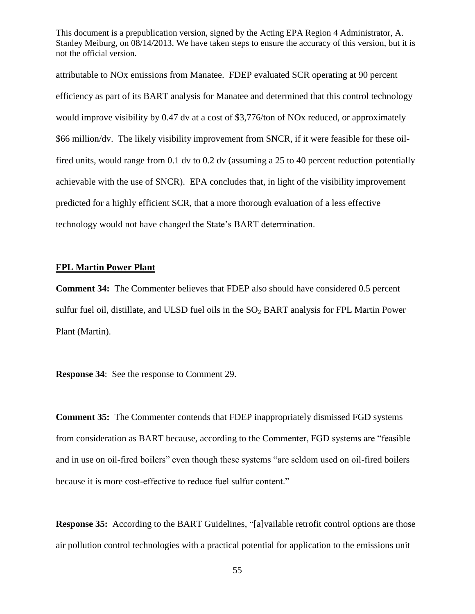attributable to NOx emissions from Manatee. FDEP evaluated SCR operating at 90 percent efficiency as part of its BART analysis for Manatee and determined that this control technology would improve visibility by 0.47 dv at a cost of \$3,776/ton of NOx reduced, or approximately \$66 million/dv. The likely visibility improvement from SNCR, if it were feasible for these oilfired units, would range from 0.1 dv to 0.2 dv (assuming a 25 to 40 percent reduction potentially achievable with the use of SNCR). EPA concludes that, in light of the visibility improvement predicted for a highly efficient SCR, that a more thorough evaluation of a less effective technology would not have changed the State's BART determination.

#### **FPL Martin Power Plant**

**Comment 34:** The Commenter believes that FDEP also should have considered 0.5 percent sulfur fuel oil, distillate, and ULSD fuel oils in the  $SO<sub>2</sub> BART$  analysis for FPL Martin Power Plant (Martin).

**Response 34**: See the response to Comment 29.

**Comment 35:** The Commenter contends that FDEP inappropriately dismissed FGD systems from consideration as BART because, according to the Commenter, FGD systems are "feasible" and in use on oil-fired boilers" even though these systems "are seldom used on oil-fired boilers because it is more cost-effective to reduce fuel sulfur content."

**Response 35:** According to the BART Guidelines, "[a]vailable retrofit control options are those air pollution control technologies with a practical potential for application to the emissions unit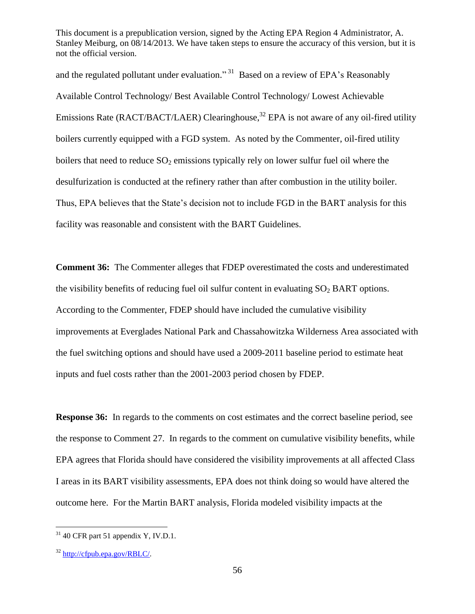and the regulated pollutant under evaluation."<sup>31</sup> Based on a review of EPA's Reasonably Available Control Technology/ Best Available Control Technology/ Lowest Achievable Emissions Rate (RACT/BACT/LAER) Clearinghouse,<sup>32</sup> EPA is not aware of any oil-fired utility boilers currently equipped with a FGD system. As noted by the Commenter, oil-fired utility boilers that need to reduce  $SO_2$  emissions typically rely on lower sulfur fuel oil where the desulfurization is conducted at the refinery rather than after combustion in the utility boiler. Thus, EPA believes that the State's decision not to include FGD in the BART analysis for this facility was reasonable and consistent with the BART Guidelines.

**Comment 36:** The Commenter alleges that FDEP overestimated the costs and underestimated the visibility benefits of reducing fuel oil sulfur content in evaluating  $SO<sub>2</sub> BART$  options. According to the Commenter, FDEP should have included the cumulative visibility improvements at Everglades National Park and Chassahowitzka Wilderness Area associated with the fuel switching options and should have used a 2009-2011 baseline period to estimate heat inputs and fuel costs rather than the 2001-2003 period chosen by FDEP.

**Response 36:** In regards to the comments on cost estimates and the correct baseline period, see the response to Comment 27. In regards to the comment on cumulative visibility benefits, while EPA agrees that Florida should have considered the visibility improvements at all affected Class I areas in its BART visibility assessments, EPA does not think doing so would have altered the outcome here. For the Martin BART analysis, Florida modeled visibility impacts at the

 $31$  40 CFR part 51 appendix Y, IV.D.1.

 $32$  [http://cfpub.epa.gov/RBLC/.](http://cfpub.epa.gov/RBLC/)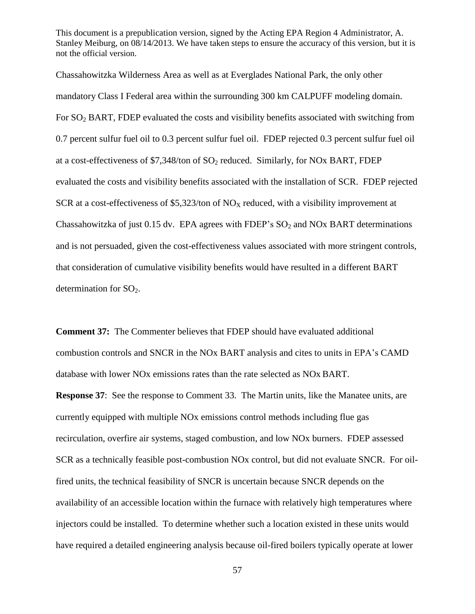Chassahowitzka Wilderness Area as well as at Everglades National Park, the only other mandatory Class I Federal area within the surrounding 300 km CALPUFF modeling domain. For SO<sub>2</sub> BART, FDEP evaluated the costs and visibility benefits associated with switching from 0.7 percent sulfur fuel oil to 0.3 percent sulfur fuel oil. FDEP rejected 0.3 percent sulfur fuel oil at a cost-effectiveness of  $$7,348$ /ton of  $SO<sub>2</sub>$  reduced. Similarly, for NOx BART, FDEP evaluated the costs and visibility benefits associated with the installation of SCR. FDEP rejected SCR at a cost-effectiveness of \$5,323/ton of  $NO<sub>X</sub>$  reduced, with a visibility improvement at Chassahowitzka of just 0.15 dv. EPA agrees with FDEP's  $SO_2$  and NOx BART determinations and is not persuaded, given the cost-effectiveness values associated with more stringent controls, that consideration of cumulative visibility benefits would have resulted in a different BART determination for  $SO<sub>2</sub>$ .

**Comment 37:** The Commenter believes that FDEP should have evaluated additional combustion controls and SNCR in the NOx BART analysis and cites to units in EPA's CAMD database with lower NOx emissions rates than the rate selected as NOx BART.

**Response 37**: See the response to Comment 33. The Martin units, like the Manatee units, are currently equipped with multiple NOx emissions control methods including flue gas recirculation, overfire air systems, staged combustion, and low NOx burners. FDEP assessed SCR as a technically feasible post-combustion NOx control, but did not evaluate SNCR. For oilfired units, the technical feasibility of SNCR is uncertain because SNCR depends on the availability of an accessible location within the furnace with relatively high temperatures where injectors could be installed. To determine whether such a location existed in these units would have required a detailed engineering analysis because oil-fired boilers typically operate at lower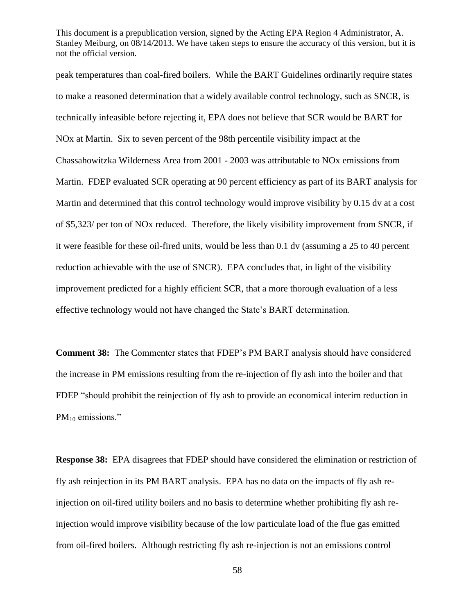peak temperatures than coal-fired boilers. While the BART Guidelines ordinarily require states to make a reasoned determination that a widely available control technology, such as SNCR, is technically infeasible before rejecting it, EPA does not believe that SCR would be BART for NOx at Martin. Six to seven percent of the 98th percentile visibility impact at the Chassahowitzka Wilderness Area from 2001 - 2003 was attributable to NOx emissions from Martin. FDEP evaluated SCR operating at 90 percent efficiency as part of its BART analysis for Martin and determined that this control technology would improve visibility by 0.15 dv at a cost of \$5,323/ per ton of NOx reduced. Therefore, the likely visibility improvement from SNCR, if it were feasible for these oil-fired units, would be less than 0.1 dv (assuming a 25 to 40 percent reduction achievable with the use of SNCR). EPA concludes that, in light of the visibility improvement predicted for a highly efficient SCR, that a more thorough evaluation of a less effective technology would not have changed the State's BART determination.

**Comment 38:** The Commenter states that FDEP's PM BART analysis should have considered the increase in PM emissions resulting from the re-injection of fly ash into the boiler and that FDEP "should prohibit the reinjection of fly ash to provide an economical interim reduction in  $PM_{10}$  emissions."

**Response 38:** EPA disagrees that FDEP should have considered the elimination or restriction of fly ash reinjection in its PM BART analysis. EPA has no data on the impacts of fly ash reinjection on oil-fired utility boilers and no basis to determine whether prohibiting fly ash reinjection would improve visibility because of the low particulate load of the flue gas emitted from oil-fired boilers. Although restricting fly ash re-injection is not an emissions control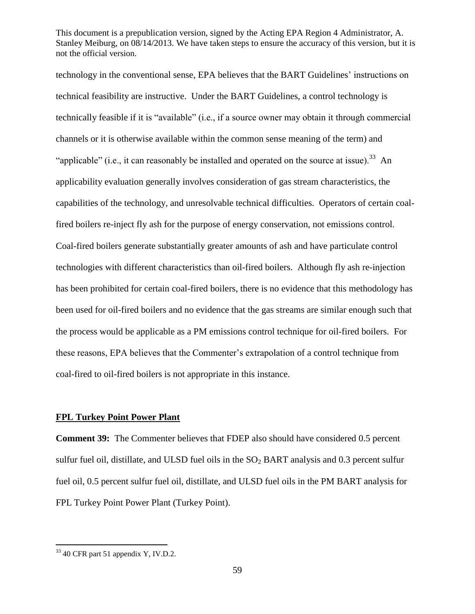technology in the conventional sense, EPA believes that the BART Guidelines' instructions on technical feasibility are instructive. Under the BART Guidelines, a control technology is technically feasible if it is "available" (i.e., if a source owner may obtain it through commercial channels or it is otherwise available within the common sense meaning of the term) and "applicable" (i.e., it can reasonably be installed and operated on the source at issue).<sup>33</sup> An applicability evaluation generally involves consideration of gas stream characteristics, the capabilities of the technology, and unresolvable technical difficulties. Operators of certain coalfired boilers re-inject fly ash for the purpose of energy conservation, not emissions control. Coal-fired boilers generate substantially greater amounts of ash and have particulate control technologies with different characteristics than oil-fired boilers. Although fly ash re-injection has been prohibited for certain coal-fired boilers, there is no evidence that this methodology has been used for oil-fired boilers and no evidence that the gas streams are similar enough such that the process would be applicable as a PM emissions control technique for oil-fired boilers. For these reasons, EPA believes that the Commenter's extrapolation of a control technique from coal-fired to oil-fired boilers is not appropriate in this instance.

#### **FPL Turkey Point Power Plant**

**Comment 39:** The Commenter believes that FDEP also should have considered 0.5 percent sulfur fuel oil, distillate, and ULSD fuel oils in the  $SO<sub>2</sub> BART$  analysis and 0.3 percent sulfur fuel oil, 0.5 percent sulfur fuel oil, distillate, and ULSD fuel oils in the PM BART analysis for FPL Turkey Point Power Plant (Turkey Point).

 $33$  40 CFR part 51 appendix Y, IV.D.2.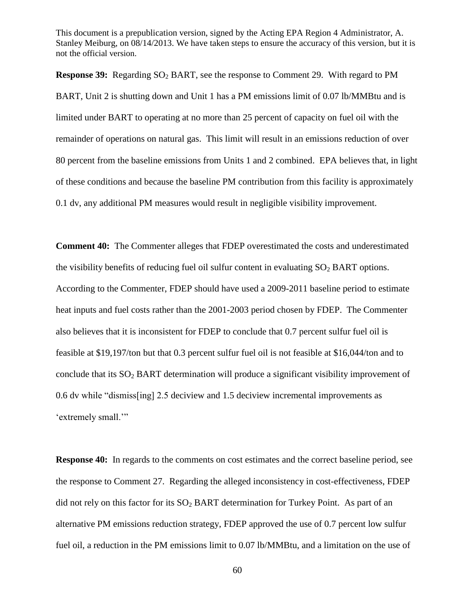**Response 39:** Regarding SO<sub>2</sub> BART, see the response to Comment 29. With regard to PM BART, Unit 2 is shutting down and Unit 1 has a PM emissions limit of 0.07 lb/MMBtu and is limited under BART to operating at no more than 25 percent of capacity on fuel oil with the remainder of operations on natural gas. This limit will result in an emissions reduction of over 80 percent from the baseline emissions from Units 1 and 2 combined. EPA believes that, in light of these conditions and because the baseline PM contribution from this facility is approximately 0.1 dv, any additional PM measures would result in negligible visibility improvement.

**Comment 40:** The Commenter alleges that FDEP overestimated the costs and underestimated the visibility benefits of reducing fuel oil sulfur content in evaluating  $SO<sub>2</sub> BART$  options. According to the Commenter, FDEP should have used a 2009-2011 baseline period to estimate heat inputs and fuel costs rather than the 2001-2003 period chosen by FDEP. The Commenter also believes that it is inconsistent for FDEP to conclude that 0.7 percent sulfur fuel oil is feasible at \$19,197/ton but that 0.3 percent sulfur fuel oil is not feasible at \$16,044/ton and to conclude that its  $SO<sub>2</sub> BART$  determination will produce a significant visibility improvement of 0.6 dv while "dismiss[ing] 2.5 deciview and 1.5 deciview incremental improvements as 'extremely small.'"

**Response 40:** In regards to the comments on cost estimates and the correct baseline period, see the response to Comment 27. Regarding the alleged inconsistency in cost-effectiveness, FDEP did not rely on this factor for its  $SO_2$  BART determination for Turkey Point. As part of an alternative PM emissions reduction strategy, FDEP approved the use of 0.7 percent low sulfur fuel oil, a reduction in the PM emissions limit to 0.07 lb/MMBtu, and a limitation on the use of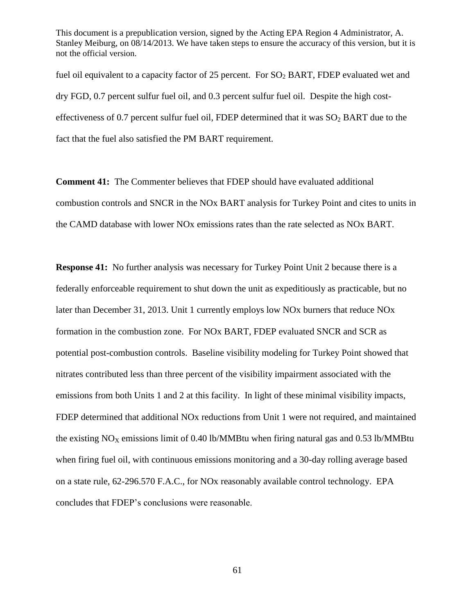fuel oil equivalent to a capacity factor of 25 percent. For  $SO<sub>2</sub> BART$ , FDEP evaluated wet and dry FGD, 0.7 percent sulfur fuel oil, and 0.3 percent sulfur fuel oil. Despite the high costeffectiveness of 0.7 percent sulfur fuel oil, FDEP determined that it was  $SO_2$  BART due to the fact that the fuel also satisfied the PM BART requirement.

**Comment 41:** The Commenter believes that FDEP should have evaluated additional combustion controls and SNCR in the NOx BART analysis for Turkey Point and cites to units in the CAMD database with lower NOx emissions rates than the rate selected as NOx BART.

**Response 41:** No further analysis was necessary for Turkey Point Unit 2 because there is a federally enforceable requirement to shut down the unit as expeditiously as practicable, but no later than December 31, 2013. Unit 1 currently employs low NOx burners that reduce NOx formation in the combustion zone. For NOx BART, FDEP evaluated SNCR and SCR as potential post-combustion controls. Baseline visibility modeling for Turkey Point showed that nitrates contributed less than three percent of the visibility impairment associated with the emissions from both Units 1 and 2 at this facility. In light of these minimal visibility impacts, FDEP determined that additional NOx reductions from Unit 1 were not required, and maintained the existing  $NO<sub>X</sub>$  emissions limit of 0.40 lb/MMBtu when firing natural gas and 0.53 lb/MMBtu when firing fuel oil, with continuous emissions monitoring and a 30-day rolling average based on a state rule, 62-296.570 F.A.C., for NOx reasonably available control technology. EPA concludes that FDEP's conclusions were reasonable.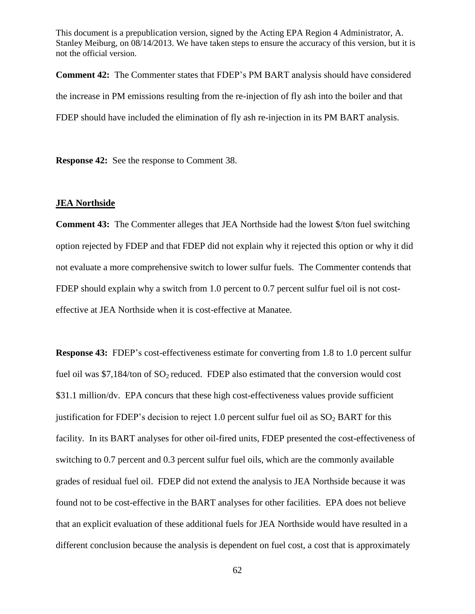**Comment 42:** The Commenter states that FDEP's PM BART analysis should have considered the increase in PM emissions resulting from the re-injection of fly ash into the boiler and that FDEP should have included the elimination of fly ash re-injection in its PM BART analysis.

**Response 42:** See the response to Comment 38.

#### **JEA Northside**

**Comment 43:** The Commenter alleges that JEA Northside had the lowest \$/ton fuel switching option rejected by FDEP and that FDEP did not explain why it rejected this option or why it did not evaluate a more comprehensive switch to lower sulfur fuels. The Commenter contends that FDEP should explain why a switch from 1.0 percent to 0.7 percent sulfur fuel oil is not costeffective at JEA Northside when it is cost-effective at Manatee.

**Response 43:** FDEP's cost-effectiveness estimate for converting from 1.8 to 1.0 percent sulfur fuel oil was  $$7,184/$ ton of  $SO<sub>2</sub>$  reduced. FDEP also estimated that the conversion would cost \$31.1 million/dv. EPA concurs that these high cost-effectiveness values provide sufficient justification for FDEP's decision to reject 1.0 percent sulfur fuel oil as  $SO_2$  BART for this facility. In its BART analyses for other oil-fired units, FDEP presented the cost-effectiveness of switching to 0.7 percent and 0.3 percent sulfur fuel oils, which are the commonly available grades of residual fuel oil. FDEP did not extend the analysis to JEA Northside because it was found not to be cost-effective in the BART analyses for other facilities. EPA does not believe that an explicit evaluation of these additional fuels for JEA Northside would have resulted in a different conclusion because the analysis is dependent on fuel cost, a cost that is approximately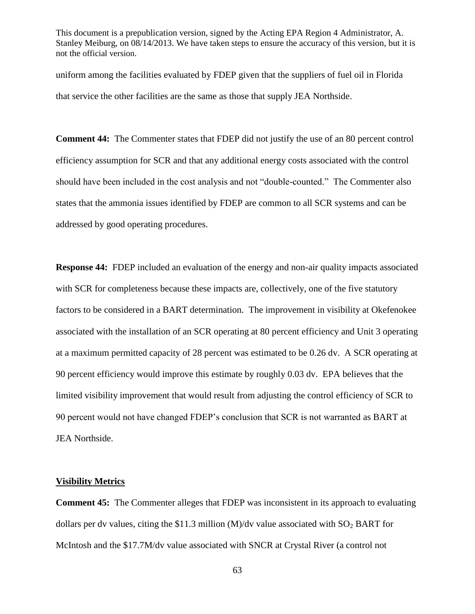uniform among the facilities evaluated by FDEP given that the suppliers of fuel oil in Florida that service the other facilities are the same as those that supply JEA Northside.

**Comment 44:** The Commenter states that FDEP did not justify the use of an 80 percent control efficiency assumption for SCR and that any additional energy costs associated with the control should have been included in the cost analysis and not "double-counted." The Commenter also states that the ammonia issues identified by FDEP are common to all SCR systems and can be addressed by good operating procedures.

**Response 44:** FDEP included an evaluation of the energy and non-air quality impacts associated with SCR for completeness because these impacts are, collectively, one of the five statutory factors to be considered in a BART determination. The improvement in visibility at Okefenokee associated with the installation of an SCR operating at 80 percent efficiency and Unit 3 operating at a maximum permitted capacity of 28 percent was estimated to be 0.26 dv. A SCR operating at 90 percent efficiency would improve this estimate by roughly 0.03 dv. EPA believes that the limited visibility improvement that would result from adjusting the control efficiency of SCR to 90 percent would not have changed FDEP's conclusion that SCR is not warranted as BART at JEA Northside.

#### **Visibility Metrics**

**Comment 45:** The Commenter alleges that FDEP was inconsistent in its approach to evaluating dollars per dv values, citing the \$11.3 million (M)/dv value associated with  $SO_2$  BART for McIntosh and the \$17.7M/dv value associated with SNCR at Crystal River (a control not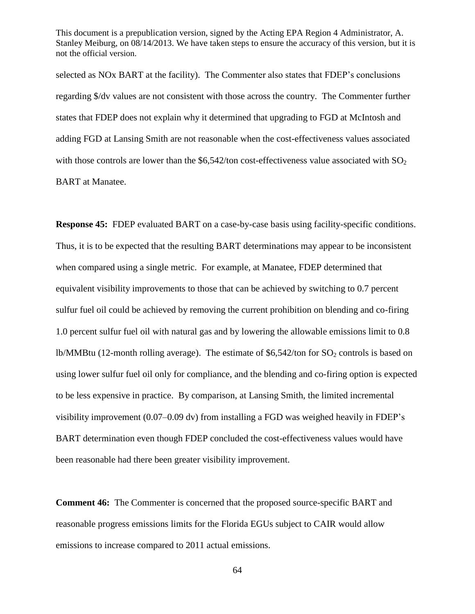selected as NOx BART at the facility). The Commenter also states that FDEP's conclusions regarding \$/dv values are not consistent with those across the country. The Commenter further states that FDEP does not explain why it determined that upgrading to FGD at McIntosh and adding FGD at Lansing Smith are not reasonable when the cost-effectiveness values associated with those controls are lower than the  $$6,542$ /ton cost-effectiveness value associated with  $SO<sub>2</sub>$ BART at Manatee.

**Response 45:** FDEP evaluated BART on a case-by-case basis using facility-specific conditions. Thus, it is to be expected that the resulting BART determinations may appear to be inconsistent when compared using a single metric. For example, at Manatee, FDEP determined that equivalent visibility improvements to those that can be achieved by switching to 0.7 percent sulfur fuel oil could be achieved by removing the current prohibition on blending and co-firing 1.0 percent sulfur fuel oil with natural gas and by lowering the allowable emissions limit to 0.8 lb/MMBtu (12-month rolling average). The estimate of \$6,542/ton for  $SO_2$  controls is based on using lower sulfur fuel oil only for compliance, and the blending and co-firing option is expected to be less expensive in practice. By comparison, at Lansing Smith, the limited incremental visibility improvement (0.07–0.09 dv) from installing a FGD was weighed heavily in FDEP's BART determination even though FDEP concluded the cost-effectiveness values would have been reasonable had there been greater visibility improvement.

**Comment 46:** The Commenter is concerned that the proposed source-specific BART and reasonable progress emissions limits for the Florida EGUs subject to CAIR would allow emissions to increase compared to 2011 actual emissions.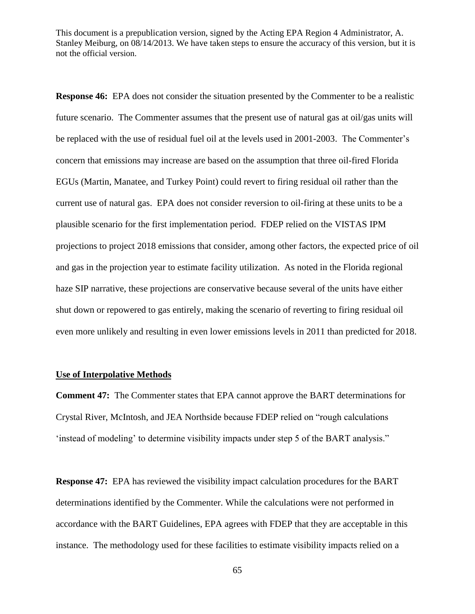**Response 46:** EPA does not consider the situation presented by the Commenter to be a realistic future scenario. The Commenter assumes that the present use of natural gas at oil/gas units will be replaced with the use of residual fuel oil at the levels used in 2001-2003. The Commenter's concern that emissions may increase are based on the assumption that three oil-fired Florida EGUs (Martin, Manatee, and Turkey Point) could revert to firing residual oil rather than the current use of natural gas. EPA does not consider reversion to oil-firing at these units to be a plausible scenario for the first implementation period. FDEP relied on the VISTAS IPM projections to project 2018 emissions that consider, among other factors, the expected price of oil and gas in the projection year to estimate facility utilization. As noted in the Florida regional haze SIP narrative, these projections are conservative because several of the units have either shut down or repowered to gas entirely, making the scenario of reverting to firing residual oil even more unlikely and resulting in even lower emissions levels in 2011 than predicted for 2018.

#### **Use of Interpolative Methods**

**Comment 47:** The Commenter states that EPA cannot approve the BART determinations for Crystal River, McIntosh, and JEA Northside because FDEP relied on "rough calculations" 'instead of modeling' to determine visibility impacts under step 5 of the BART analysis."

**Response 47:** EPA has reviewed the visibility impact calculation procedures for the BART determinations identified by the Commenter. While the calculations were not performed in accordance with the BART Guidelines, EPA agrees with FDEP that they are acceptable in this instance. The methodology used for these facilities to estimate visibility impacts relied on a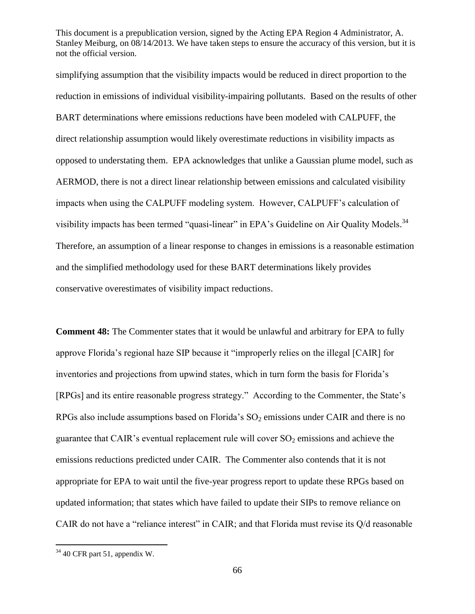simplifying assumption that the visibility impacts would be reduced in direct proportion to the reduction in emissions of individual visibility-impairing pollutants. Based on the results of other BART determinations where emissions reductions have been modeled with CALPUFF, the direct relationship assumption would likely overestimate reductions in visibility impacts as opposed to understating them. EPA acknowledges that unlike a Gaussian plume model, such as AERMOD, there is not a direct linear relationship between emissions and calculated visibility impacts when using the CALPUFF modeling system. However, CALPUFF's calculation of visibility impacts has been termed "quasi-linear" in EPA's Guideline on Air Quality Models.<sup>34</sup> Therefore, an assumption of a linear response to changes in emissions is a reasonable estimation and the simplified methodology used for these BART determinations likely provides conservative overestimates of visibility impact reductions.

**Comment 48:** The Commenter states that it would be unlawful and arbitrary for EPA to fully approve Florida's regional haze SIP because it "improperly relies on the illegal [CAIR] for inventories and projections from upwind states, which in turn form the basis for Florida's [RPGs] and its entire reasonable progress strategy." According to the Commenter, the State's RPGs also include assumptions based on Florida's  $SO_2$  emissions under CAIR and there is no guarantee that CAIR's eventual replacement rule will cover  $SO_2$  emissions and achieve the emissions reductions predicted under CAIR. The Commenter also contends that it is not appropriate for EPA to wait until the five-year progress report to update these RPGs based on updated information; that states which have failed to update their SIPs to remove reliance on CAIR do not have a "reliance interest" in CAIR; and that Florida must revise its  $Q/d$  reasonable

 $34$  40 CFR part 51, appendix W.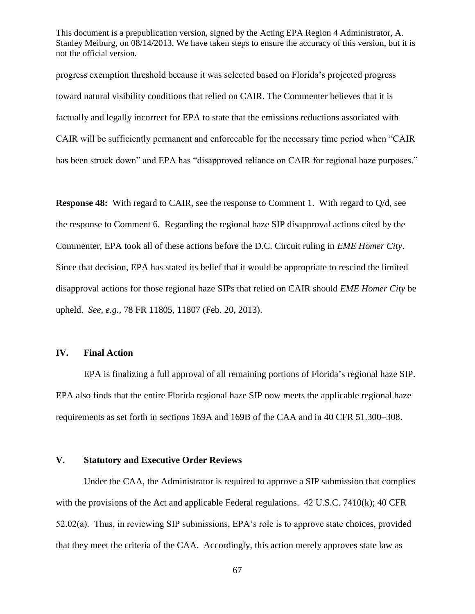progress exemption threshold because it was selected based on Florida's projected progress toward natural visibility conditions that relied on CAIR. The Commenter believes that it is factually and legally incorrect for EPA to state that the emissions reductions associated with CAIR will be sufficiently permanent and enforceable for the necessary time period when "CAIR" has been struck down" and EPA has "disapproved reliance on CAIR for regional haze purposes."

**Response 48:** With regard to CAIR, see the response to Comment 1. With regard to Q/d, see the response to Comment 6. Regarding the regional haze SIP disapproval actions cited by the Commenter, EPA took all of these actions before the D.C. Circuit ruling in *EME Homer City*. Since that decision, EPA has stated its belief that it would be appropriate to rescind the limited disapproval actions for those regional haze SIPs that relied on CAIR should *EME Homer City* be upheld. *See, e.g.,* 78 FR 11805, 11807 (Feb. 20, 2013).

#### **IV. Final Action**

EPA is finalizing a full approval of all remaining portions of Florida's regional haze SIP. EPA also finds that the entire Florida regional haze SIP now meets the applicable regional haze requirements as set forth in sections 169A and 169B of the CAA and in 40 CFR 51.300–308.

#### **V. Statutory and Executive Order Reviews**

Under the CAA, the Administrator is required to approve a SIP submission that complies with the provisions of the Act and applicable Federal regulations. 42 U.S.C. 7410(k); 40 CFR 52.02(a). Thus, in reviewing SIP submissions, EPA's role is to approve state choices, provided that they meet the criteria of the CAA. Accordingly, this action merely approves state law as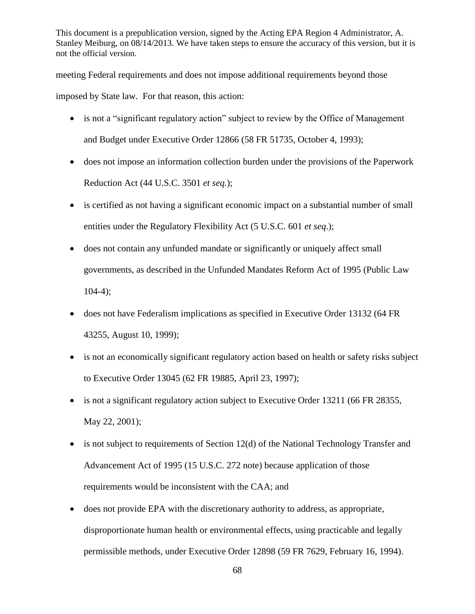meeting Federal requirements and does not impose additional requirements beyond those

imposed by State law. For that reason, this action:

- is not a "significant regulatory action" subject to review by the Office of Management and Budget under Executive Order 12866 (58 FR 51735, October 4, 1993);
- does not impose an information collection burden under the provisions of the Paperwork Reduction Act (44 U.S.C. 3501 *et seq.*);
- is certified as not having a significant economic impact on a substantial number of small entities under the Regulatory Flexibility Act (5 U.S.C. 601 *et seq*.);
- does not contain any unfunded mandate or significantly or uniquely affect small governments, as described in the Unfunded Mandates Reform Act of 1995 (Public Law  $104-4$ ;
- does not have Federalism implications as specified in Executive Order 13132 (64 FR 43255, August 10, 1999);
- is not an economically significant regulatory action based on health or safety risks subject to Executive Order 13045 (62 FR 19885, April 23, 1997);
- is not a significant regulatory action subject to Executive Order 13211 (66 FR 28355, May 22, 2001);
- is not subject to requirements of Section 12(d) of the National Technology Transfer and Advancement Act of 1995 (15 U.S.C. 272 note) because application of those requirements would be inconsistent with the CAA; and
- does not provide EPA with the discretionary authority to address, as appropriate, disproportionate human health or environmental effects, using practicable and legally permissible methods, under Executive Order 12898 (59 FR 7629, February 16, 1994).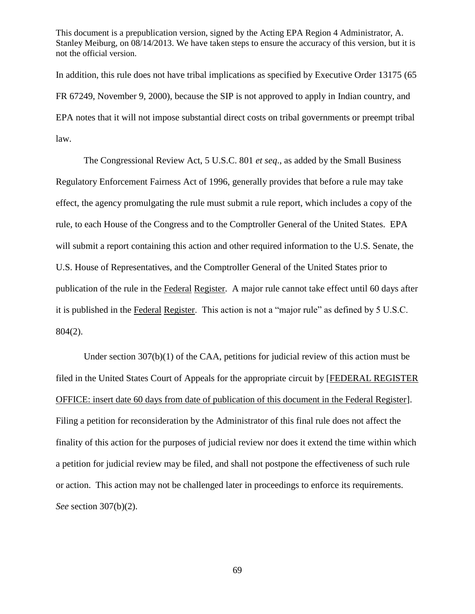In addition, this rule does not have tribal implications as specified by Executive Order 13175 (65 FR 67249, November 9, 2000), because the SIP is not approved to apply in Indian country, and EPA notes that it will not impose substantial direct costs on tribal governments or preempt tribal law.

The Congressional Review Act, 5 U.S.C. 801 *et seq*., as added by the Small Business Regulatory Enforcement Fairness Act of 1996, generally provides that before a rule may take effect, the agency promulgating the rule must submit a rule report, which includes a copy of the rule, to each House of the Congress and to the Comptroller General of the United States. EPA will submit a report containing this action and other required information to the U.S. Senate, the U.S. House of Representatives, and the Comptroller General of the United States prior to publication of the rule in the Federal Register. A major rule cannot take effect until 60 days after it is published in the Federal Register. This action is not a "major rule" as defined by 5 U.S.C. 804(2).

Under section  $307(b)(1)$  of the CAA, petitions for judicial review of this action must be filed in the United States Court of Appeals for the appropriate circuit by [FEDERAL REGISTER OFFICE: insert date 60 days from date of publication of this document in the Federal Register]. Filing a petition for reconsideration by the Administrator of this final rule does not affect the finality of this action for the purposes of judicial review nor does it extend the time within which a petition for judicial review may be filed, and shall not postpone the effectiveness of such rule or action. This action may not be challenged later in proceedings to enforce its requirements. *See* section 307(b)(2).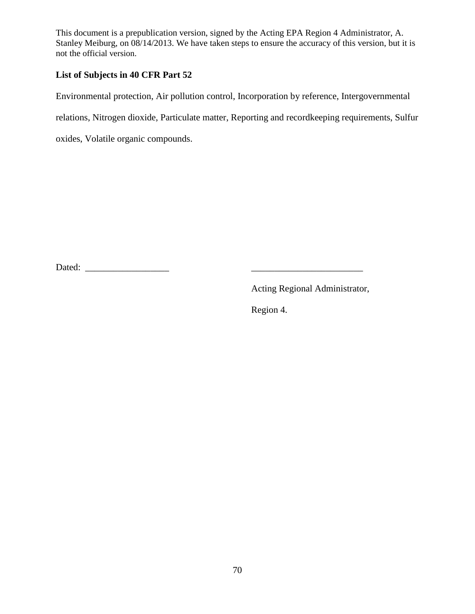# **List of Subjects in 40 CFR Part 52**

Environmental protection, Air pollution control, Incorporation by reference, Intergovernmental

relations, Nitrogen dioxide, Particulate matter, Reporting and recordkeeping requirements, Sulfur

oxides, Volatile organic compounds.

Dated: \_\_\_\_\_\_\_\_\_\_\_\_\_\_\_\_\_\_ \_\_\_\_\_\_\_\_\_\_\_\_\_\_\_\_\_\_\_\_\_\_\_\_

Acting Regional Administrator,

Region 4.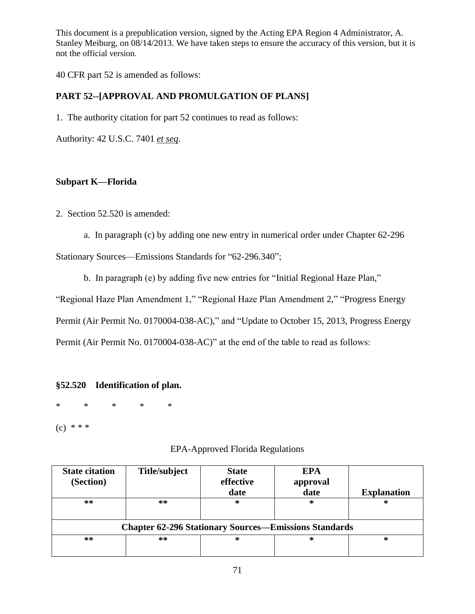40 CFR part 52 is amended as follows:

# **PART 52--[APPROVAL AND PROMULGATION OF PLANS]**

1. The authority citation for part 52 continues to read as follows:

Authority: 42 U.S.C. 7401 *et seq*.

### **Subpart K—Florida**

2. Section 52.520 is amended:

a. In paragraph (c) by adding one new entry in numerical order under Chapter 62-296

Stationary Sources—Emissions Standards for "62-296.340";

b. In paragraph (e) by adding five new entries for "Initial Regional Haze Plan,"

"Regional Haze Plan Amendment 1," "Regional Haze Plan Amendment 2," "Progress Energy

Permit (Air Permit No. 0170004-038-AC)," and "Update to October 15, 2013, Progress Energy

Permit (Air Permit No. 0170004-038-AC)" at the end of the table to read as follows:

## **§52.520 Identification of plan.**

\* \* \* \* \*

 $(c) * * *$ 

## EPA-Approved Florida Regulations

| <b>State citation</b><br>(Section)                           | Title/subject | <b>State</b><br>effective<br>date | <b>EPA</b><br>approval<br>date | <b>Explanation</b> |  |  |  |
|--------------------------------------------------------------|---------------|-----------------------------------|--------------------------------|--------------------|--|--|--|
| **                                                           | $**$          | ∗                                 | ∗                              | ∗                  |  |  |  |
| <b>Chapter 62-296 Stationary Sources—Emissions Standards</b> |               |                                   |                                |                    |  |  |  |
| **                                                           | $**$          | ∗                                 | ∗                              | ∗                  |  |  |  |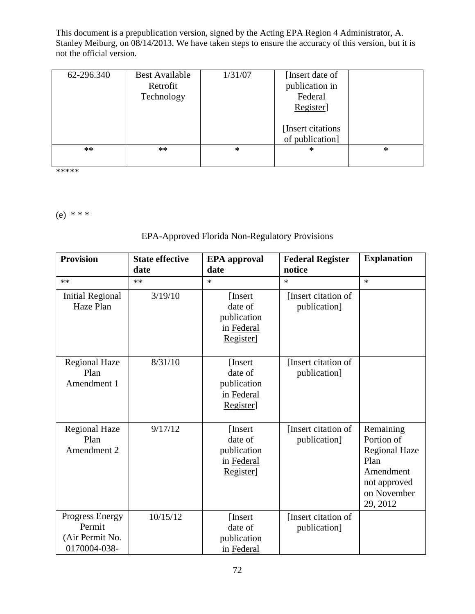| 62-296.340 | <b>Best Available</b><br>Retrofit<br>Technology | 1/31/07 | [Insert date of]<br>publication in<br>Federal<br>Register]<br>[Insert citations] |        |
|------------|-------------------------------------------------|---------|----------------------------------------------------------------------------------|--------|
|            |                                                 |         | of publication]                                                                  |        |
| $***$      | $***$                                           | ∗       | $\ast$                                                                           | $\ast$ |

\*\*\*\*\*

(e) \* \* \*

# EPA-Approved Florida Non-Regulatory Provisions

| <b>Provision</b>                                             | <b>State effective</b><br>date | <b>EPA</b> approval<br>date                                   | <b>Federal Register</b><br>notice   | <b>Explanation</b>                                                                                              |
|--------------------------------------------------------------|--------------------------------|---------------------------------------------------------------|-------------------------------------|-----------------------------------------------------------------------------------------------------------------|
| **                                                           | $**$                           | $\ast$                                                        | $\ast$                              | $\ast$                                                                                                          |
| <b>Initial Regional</b><br>Haze Plan                         | 3/19/10                        | [Insert]<br>date of<br>publication<br>in Federal<br>Register] | [Insert citation of<br>publication] |                                                                                                                 |
| <b>Regional Haze</b><br>Plan<br>Amendment 1                  | 8/31/10                        | [Insert]<br>date of<br>publication<br>in Federal<br>Register] | [Insert citation of<br>publication] |                                                                                                                 |
| <b>Regional Haze</b><br>Plan<br>Amendment 2                  | 9/17/12                        | [Insert]<br>date of<br>publication<br>in Federal<br>Register] | [Insert citation of<br>publication] | Remaining<br>Portion of<br><b>Regional Haze</b><br>Plan<br>Amendment<br>not approved<br>on November<br>29, 2012 |
| Progress Energy<br>Permit<br>(Air Permit No.<br>0170004-038- | 10/15/12                       | [Insert]<br>date of<br>publication<br>in Federal              | [Insert citation of<br>publication] |                                                                                                                 |